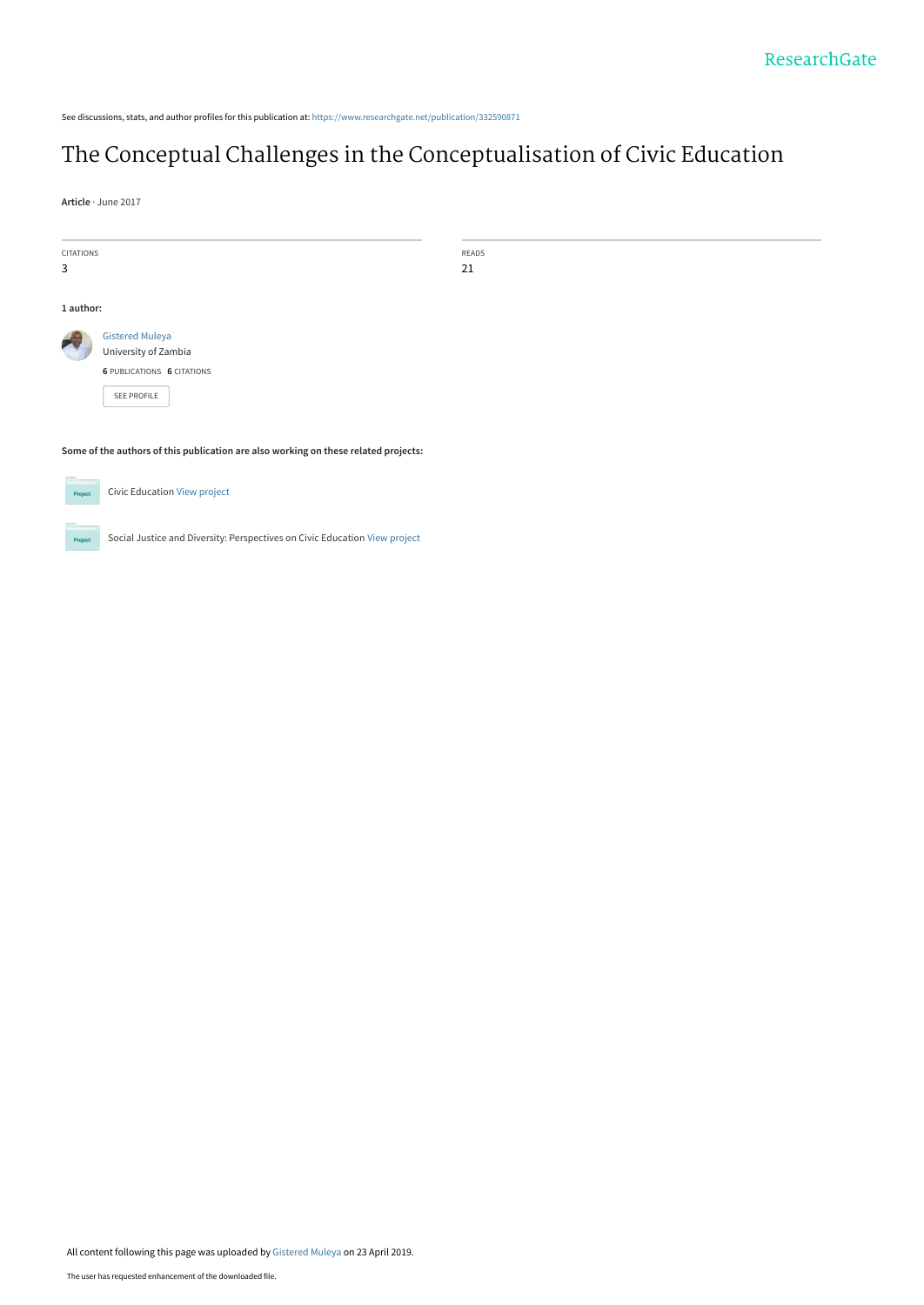See discussions, stats, and author profiles for this publication at: [https://www.researchgate.net/publication/332590871](https://www.researchgate.net/publication/332590871_The_Conceptual_Challenges_in_the_Conceptualisation_of_Civic_Education?enrichId=rgreq-12ab01cdbd6e6c6877ab8c8e37e7c425-XXX&enrichSource=Y292ZXJQYWdlOzMzMjU5MDg3MTtBUzo3NTA4NzExMjYyMzMwOTBAMTU1NjAzMzAzNTIyNQ%3D%3D&el=1_x_2&_esc=publicationCoverPdf)

# [The Conceptual Challenges in the Conceptualisation of Civic Education](https://www.researchgate.net/publication/332590871_The_Conceptual_Challenges_in_the_Conceptualisation_of_Civic_Education?enrichId=rgreq-12ab01cdbd6e6c6877ab8c8e37e7c425-XXX&enrichSource=Y292ZXJQYWdlOzMzMjU5MDg3MTtBUzo3NTA4NzExMjYyMzMwOTBAMTU1NjAzMzAzNTIyNQ%3D%3D&el=1_x_3&_esc=publicationCoverPdf)

**Article** · June 2017

**Project** 

| <b>CITATIONS</b>                                                                    |                                     | READS |  |  |
|-------------------------------------------------------------------------------------|-------------------------------------|-------|--|--|
| 3                                                                                   |                                     | 21    |  |  |
|                                                                                     |                                     |       |  |  |
|                                                                                     |                                     |       |  |  |
| 1 author:                                                                           |                                     |       |  |  |
|                                                                                     |                                     |       |  |  |
|                                                                                     | <b>Gistered Muleya</b>              |       |  |  |
|                                                                                     | University of Zambia                |       |  |  |
|                                                                                     | <b>6 PUBLICATIONS 6 CITATIONS</b>   |       |  |  |
|                                                                                     |                                     |       |  |  |
|                                                                                     | SEE PROFILE                         |       |  |  |
|                                                                                     |                                     |       |  |  |
|                                                                                     |                                     |       |  |  |
|                                                                                     |                                     |       |  |  |
| Some of the authors of this publication are also working on these related projects: |                                     |       |  |  |
|                                                                                     |                                     |       |  |  |
|                                                                                     |                                     |       |  |  |
|                                                                                     | <b>Civic Education View project</b> |       |  |  |
| Project                                                                             |                                     |       |  |  |
|                                                                                     |                                     |       |  |  |

Social Justice and Diversity: Perspectives on Civic Education [View project](https://www.researchgate.net/project/Social-Justice-and-Diversity-Perspectives-on-Civic-Education?enrichId=rgreq-12ab01cdbd6e6c6877ab8c8e37e7c425-XXX&enrichSource=Y292ZXJQYWdlOzMzMjU5MDg3MTtBUzo3NTA4NzExMjYyMzMwOTBAMTU1NjAzMzAzNTIyNQ%3D%3D&el=1_x_9&_esc=publicationCoverPdf)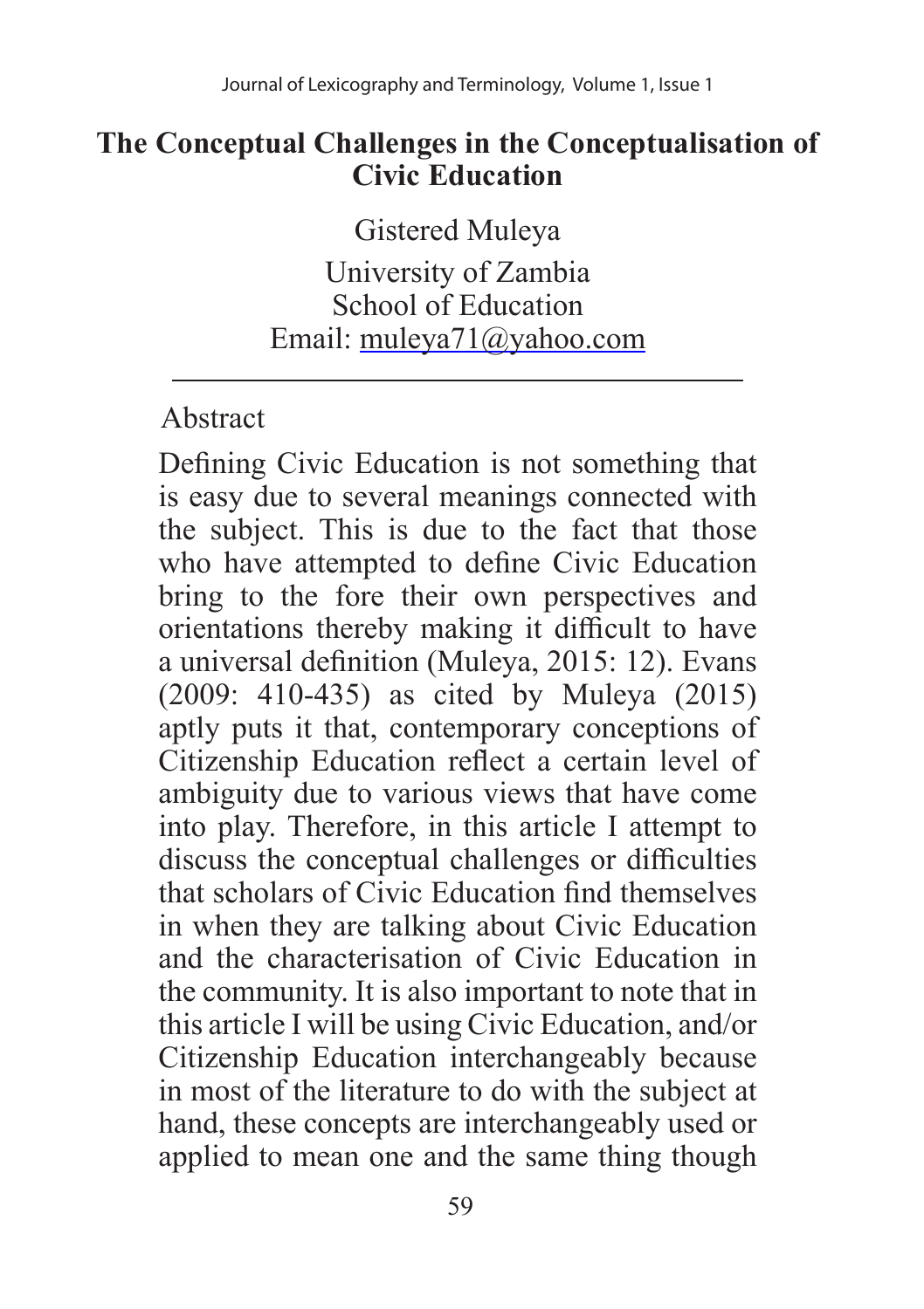#### **The Conceptual Challenges in the Conceptualisation of Civic Education**

Gistered Muleya

University of Zambia School of Education Email: muleya71@yahoo.com

### Abstract

Defining Civic Education is not something that is easy due to several meanings connected with the subject. This is due to the fact that those who have attempted to define Civic Education bring to the fore their own perspectives and orientations thereby making it difficult to have a universal definition (Muleya, 2015: 12). Evans (2009: 410-435) as cited by Muleya (2015) aptly puts it that, contemporary conceptions of Citizenship Education reflect a certain level of ambiguity due to various views that have come into play. Therefore, in this article I attempt to discuss the conceptual challenges or difficulties that scholars of Civic Education find themselves in when they are talking about Civic Education and the characterisation of Civic Education in the community. It is also important to note that in this article I will be using Civic Education, and/or Citizenship Education interchangeably because in most of the literature to do with the subject at hand, these concepts are interchangeably used or applied to mean one and the same thing though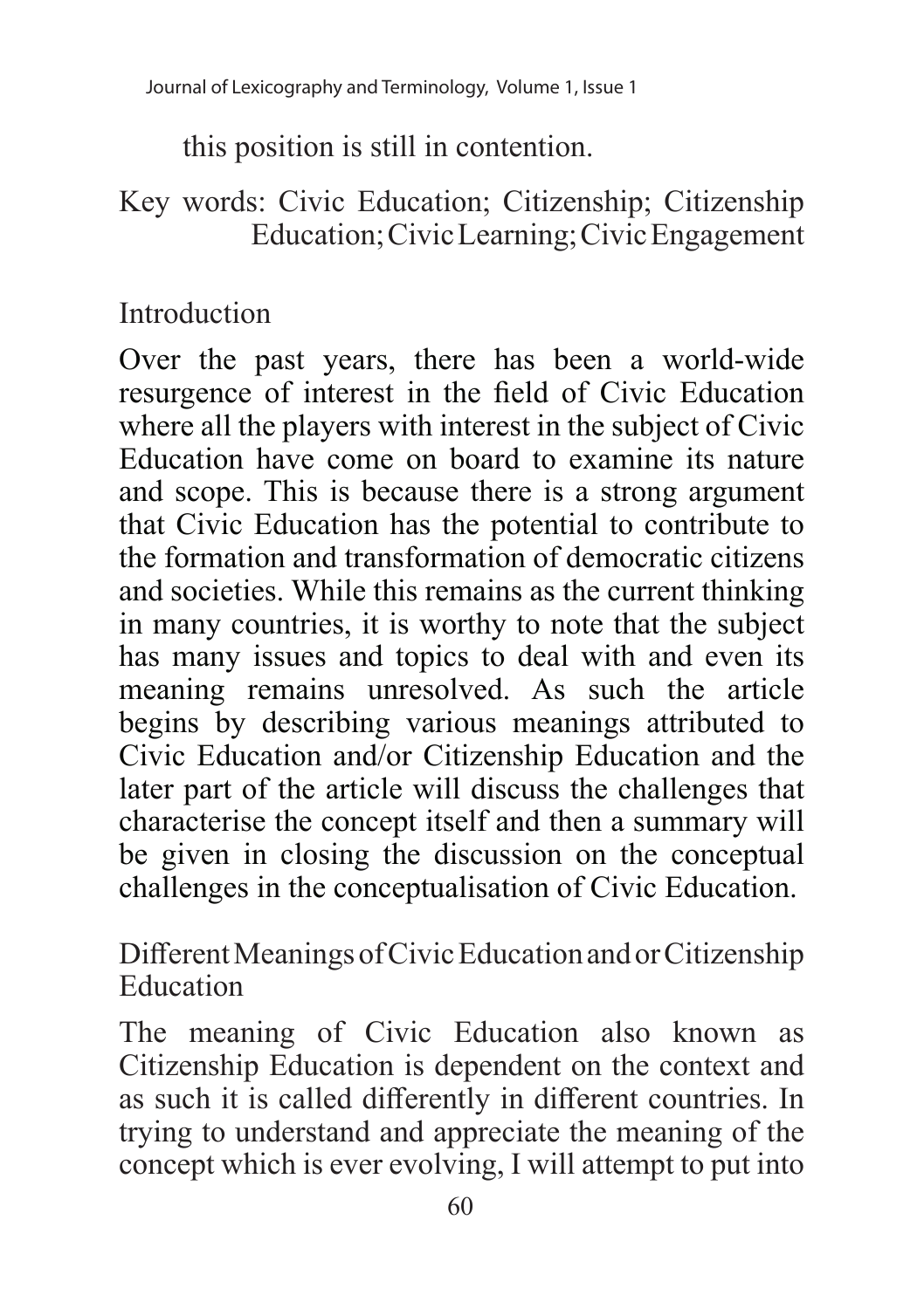this position is still in contention.

### Key words: Civic Education; Citizenship; Citizenship Education; Civic Learning; Civic Engagement

## Introduction

Over the past years, there has been a world-wide resurgence of interest in the field of Civic Education where all the players with interest in the subject of Civic Education have come on board to examine its nature and scope. This is because there is a strong argument that Civic Education has the potential to contribute to the formation and transformation of democratic citizens and societies. While this remains as the current thinking in many countries, it is worthy to note that the subject has many issues and topics to deal with and even its meaning remains unresolved. As such the article begins by describing various meanings attributed to Civic Education and/or Citizenship Education and the later part of the article will discuss the challenges that characterise the concept itself and then a summary will be given in closing the discussion on the conceptual challenges in the conceptualisation of Civic Education.

Different Meanings of Civic Education and or Citizenship Education

The meaning of Civic Education also known as Citizenship Education is dependent on the context and as such it is called differently in different countries. In trying to understand and appreciate the meaning of the concept which is ever evolving, I will attempt to put into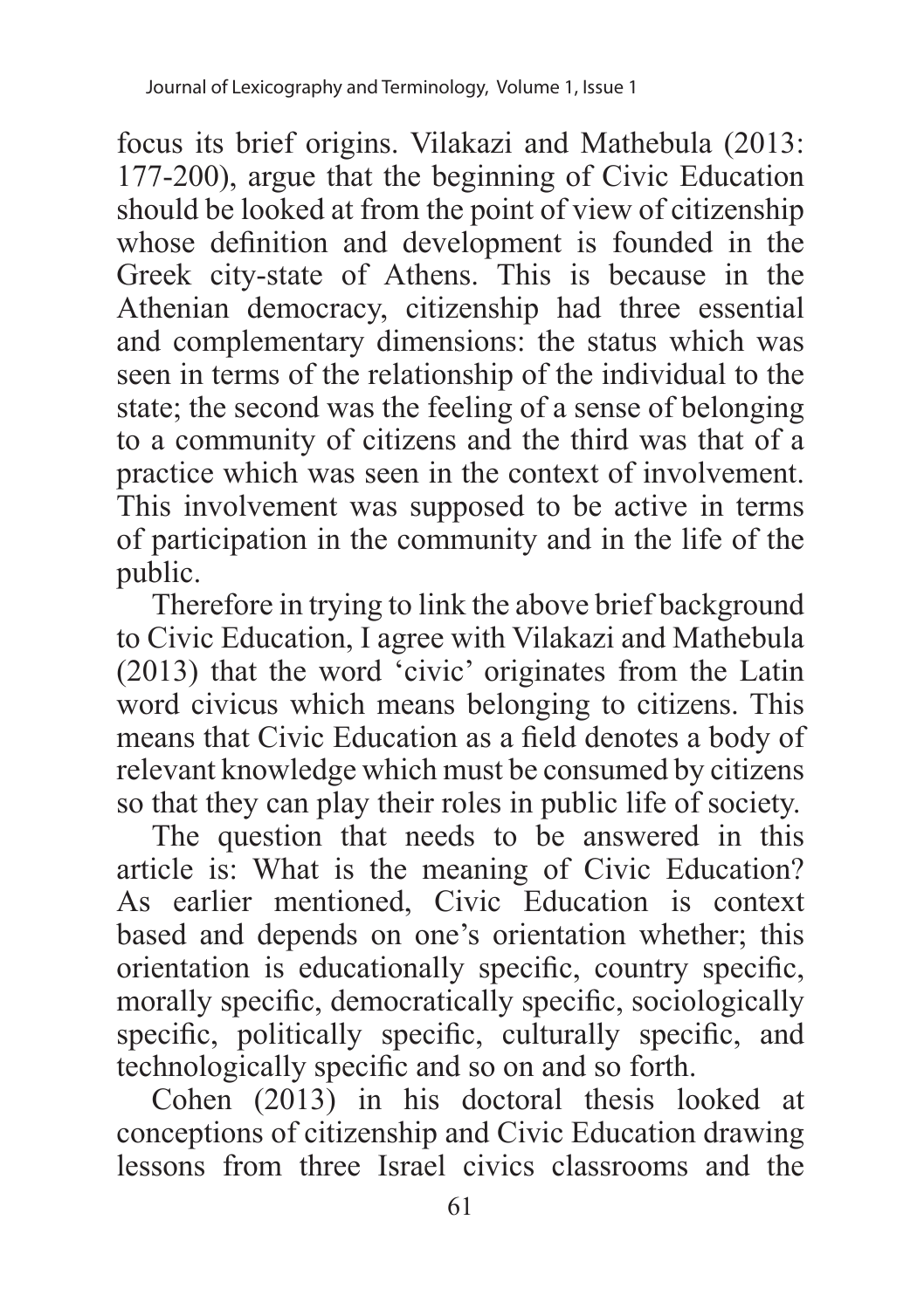focus its brief origins. Vilakazi and Mathebula (2013: 177-200), argue that the beginning of Civic Education should be looked at from the point of view of citizenship whose definition and development is founded in the Greek city-state of Athens. This is because in the Athenian democracy, citizenship had three essential and complementary dimensions: the status which was seen in terms of the relationship of the individual to the state; the second was the feeling of a sense of belonging to a community of citizens and the third was that of a practice which was seen in the context of involvement. This involvement was supposed to be active in terms of participation in the community and in the life of the public.

Therefore in trying to link the above brief background to Civic Education, I agree with Vilakazi and Mathebula (2013) that the word 'civic' originates from the Latin word civicus which means belonging to citizens. This means that Civic Education as a field denotes a body of relevant knowledge which must be consumed by citizens so that they can play their roles in public life of society.

The question that needs to be answered in this article is: What is the meaning of Civic Education? As earlier mentioned, Civic Education is context based and depends on one's orientation whether; this orientation is educationally specific, country specific, morally specific, democratically specific, sociologically specific, politically specific, culturally specific, and technologically specific and so on and so forth.

Cohen (2013) in his doctoral thesis looked at conceptions of citizenship and Civic Education drawing lessons from three Israel civics classrooms and the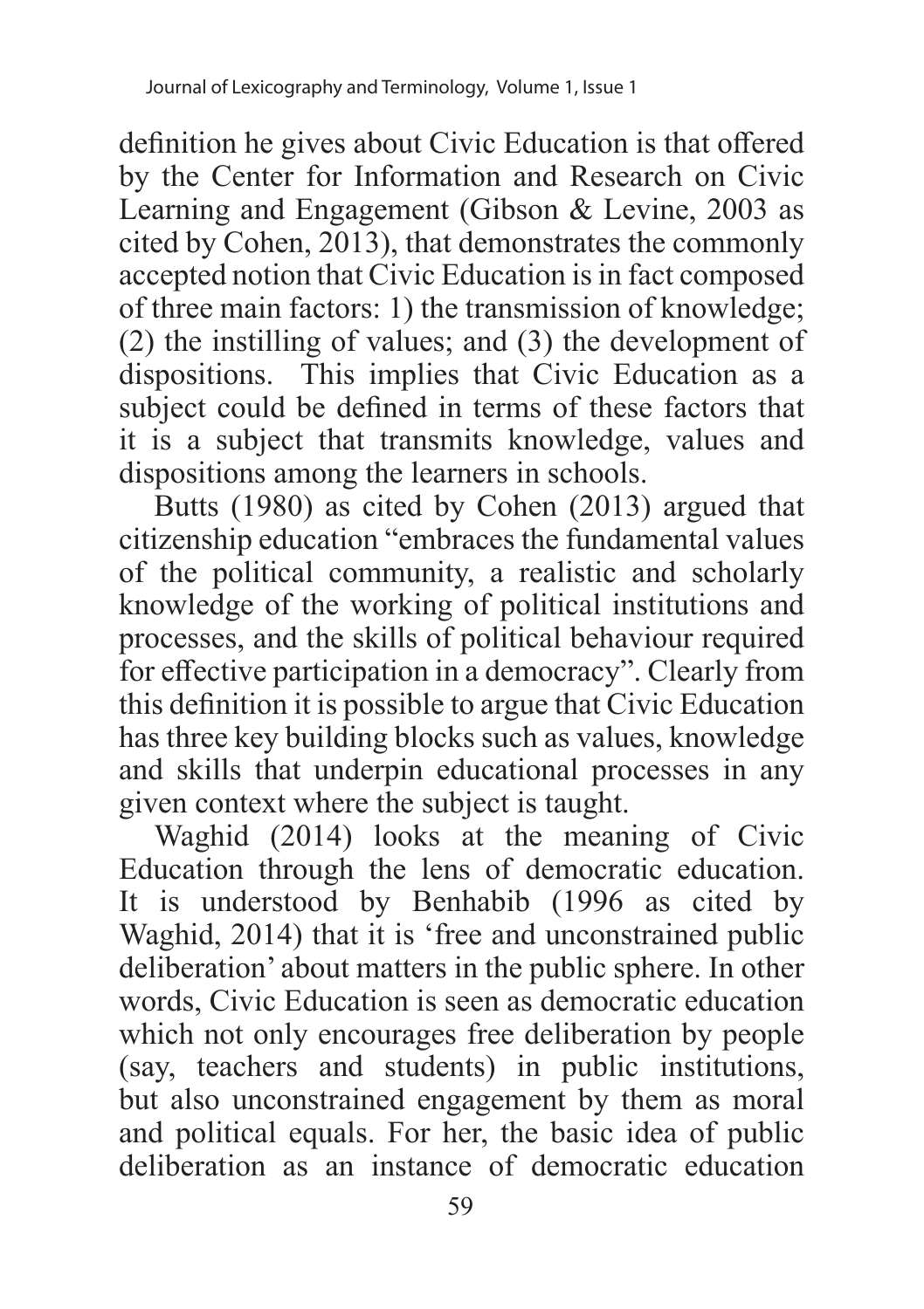definition he gives about Civic Education is that offered by the Center for Information and Research on Civic Learning and Engagement (Gibson & Levine, 2003 as cited by Cohen, 2013), that demonstrates the commonly accepted notion that Civic Education is in fact composed of three main factors: 1) the transmission of knowledge; (2) the instilling of values; and (3) the development of dispositions. This implies that Civic Education as a subject could be defined in terms of these factors that it is a subject that transmits knowledge, values and dispositions among the learners in schools.

Butts (1980) as cited by Cohen (2013) argued that citizenship education "embraces the fundamental values of the political community, a realistic and scholarly knowledge of the working of political institutions and processes, and the skills of political behaviour required for effective participation in a democracy". Clearly from this definition it is possible to argue that Civic Education has three key building blocks such as values, knowledge and skills that underpin educational processes in any given context where the subject is taught.

Waghid (2014) looks at the meaning of Civic Education through the lens of democratic education. It is understood by Benhabib (1996 as cited by Waghid, 2014) that it is 'free and unconstrained public deliberation' about matters in the public sphere. In other words, Civic Education is seen as democratic education which not only encourages free deliberation by people (say, teachers and students) in public institutions, but also unconstrained engagement by them as moral and political equals. For her, the basic idea of public deliberation as an instance of democratic education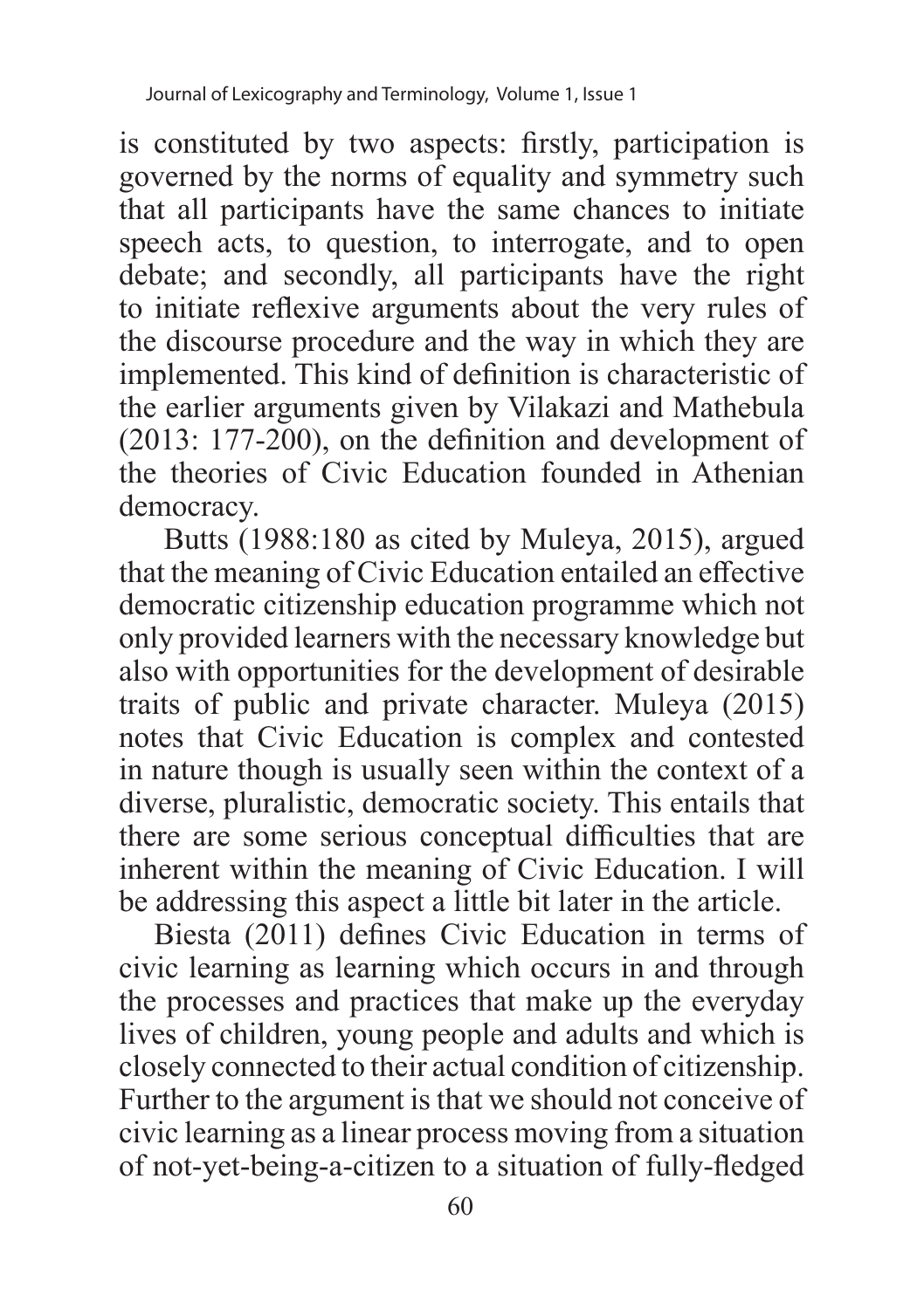is constituted by two aspects: firstly, participation is governed by the norms of equality and symmetry such that all participants have the same chances to initiate speech acts, to question, to interrogate, and to open debate; and secondly, all participants have the right to initiate reflexive arguments about the very rules of the discourse procedure and the way in which they are implemented. This kind of definition is characteristic of the earlier arguments given by Vilakazi and Mathebula  $(2013: 177-200)$ , on the definition and development of the theories of Civic Education founded in Athenian democracy.

 Butts (1988:180 as cited by Muleya, 2015), argued that the meaning of Civic Education entailed an effective democratic citizenship education programme which not only provided learners with the necessary knowledge but also with opportunities for the development of desirable traits of public and private character. Muleya (2015) notes that Civic Education is complex and contested in nature though is usually seen within the context of a diverse, pluralistic, democratic society. This entails that there are some serious conceptual difficulties that are inherent within the meaning of Civic Education. I will be addressing this aspect a little bit later in the article.

Biesta (2011) defines Civic Education in terms of civic learning as learning which occurs in and through the processes and practices that make up the everyday lives of children, young people and adults and which is closely connected to their actual condition of citizenship. Further to the argument is that we should not conceive of civic learning as a linear process moving from a situation of not-yet-being-a-citizen to a situation of fully-fledged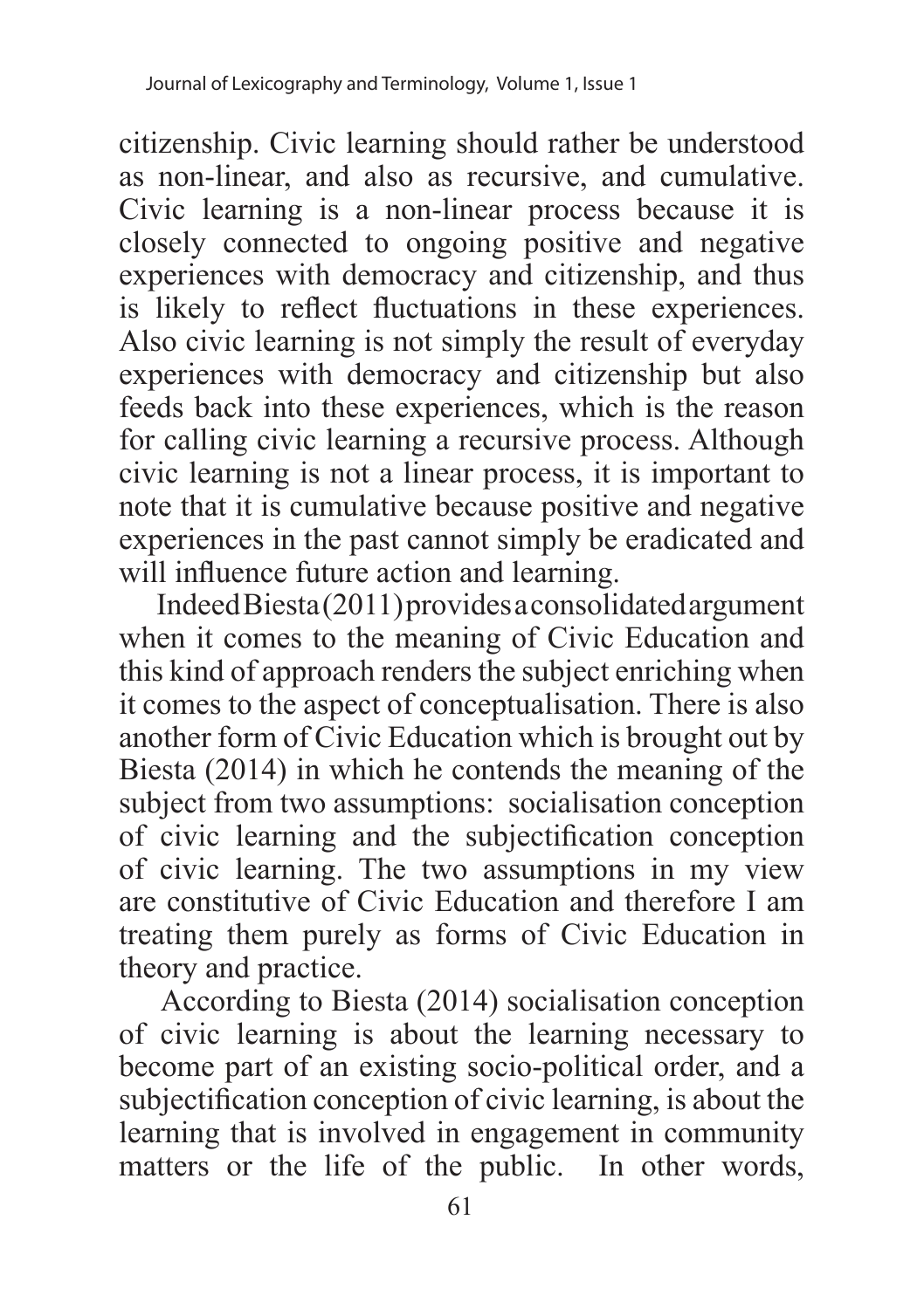citizenship. Civic learning should rather be understood as non-linear, and also as recursive, and cumulative. Civic learning is a non-linear process because it is closely connected to ongoing positive and negative experiences with democracy and citizenship, and thus is likely to reflect fluctuations in these experiences. Also civic learning is not simply the result of everyday experiences with democracy and citizenship but also feeds back into these experiences, which is the reason for calling civic learning a recursive process. Although civic learning is not a linear process, it is important to note that it is cumulative because positive and negative experiences in the past cannot simply be eradicated and will influence future action and learning.

 Indeed Biesta (2011) provides a consolidated argument when it comes to the meaning of Civic Education and this kind of approach renders the subject enriching when it comes to the aspect of conceptualisation. There is also another form of Civic Education which is brought out by Biesta (2014) in which he contends the meaning of the subject from two assumptions: socialisation conception of civic learning and the subjectification conception of civic learning. The two assumptions in my view are constitutive of Civic Education and therefore I am treating them purely as forms of Civic Education in theory and practice.

 According to Biesta (2014) socialisation conception of civic learning is about the learning necessary to become part of an existing socio-political order, and a subjectification conception of civic learning, is about the learning that is involved in engagement in community matters or the life of the public. In other words,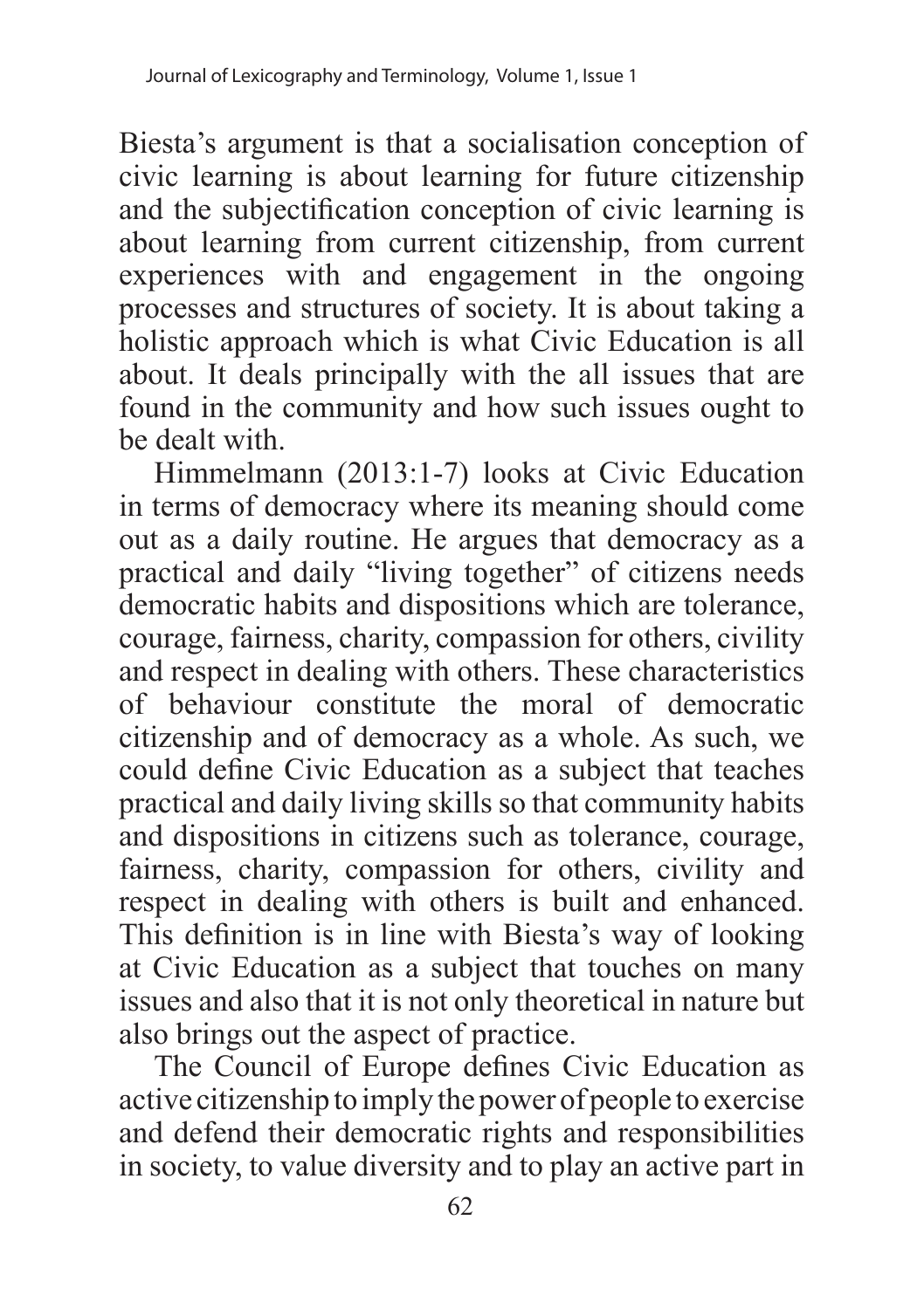Biesta's argument is that a socialisation conception of civic learning is about learning for future citizenship and the subjectification conception of civic learning is about learning from current citizenship, from current experiences with and engagement in the ongoing processes and structures of society. It is about taking a holistic approach which is what Civic Education is all about. It deals principally with the all issues that are found in the community and how such issues ought to be dealt with.

Himmelmann (2013:1-7) looks at Civic Education in terms of democracy where its meaning should come out as a daily routine. He argues that democracy as a practical and daily "living together" of citizens needs democratic habits and dispositions which are tolerance, courage, fairness, charity, compassion for others, civility and respect in dealing with others. These characteristics of behaviour constitute the moral of democratic citizenship and of democracy as a whole. As such, we could define Civic Education as a subject that teaches practical and daily living skills so that community habits and dispositions in citizens such as tolerance, courage, fairness, charity, compassion for others, civility and respect in dealing with others is built and enhanced. This definition is in line with Biesta's way of looking at Civic Education as a subject that touches on many issues and also that it is not only theoretical in nature but also brings out the aspect of practice.

The Council of Europe defines Civic Education as active citizenship to imply the power of people to exercise and defend their democratic rights and responsibilities in society, to value diversity and to play an active part in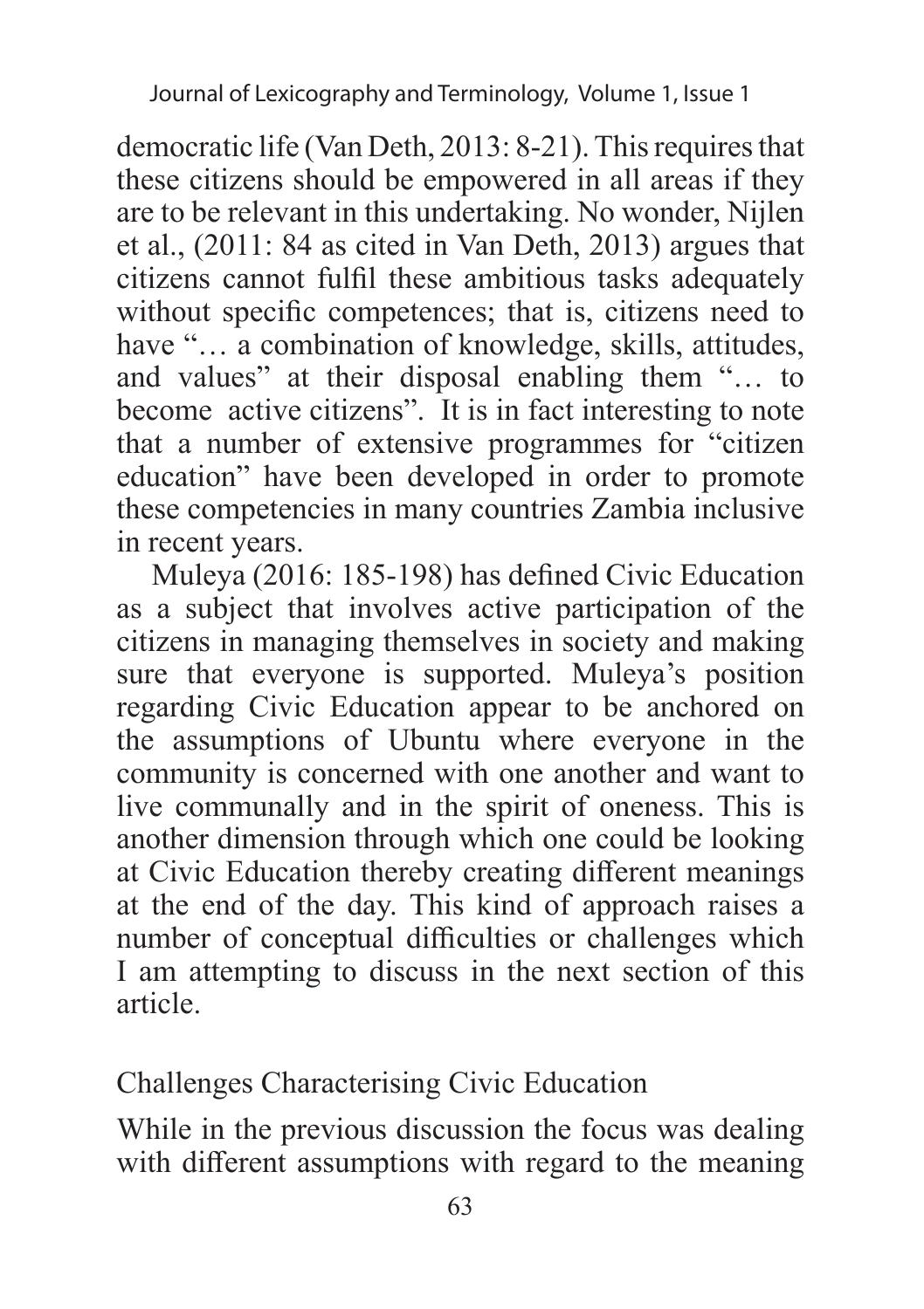democratic life (Van Deth, 2013: 8-21). This requires that these citizens should be empowered in all areas if they are to be relevant in this undertaking. No wonder, Nijlen et al., (2011: 84 as cited in Van Deth, 2013) argues that citizens cannot fulfil these ambitious tasks adequately without specific competences; that is, citizens need to have "... a combination of knowledge, skills, attitudes, and values" at their disposal enabling them "… to become active citizens". It is in fact interesting to note that a number of extensive programmes for "citizen education" have been developed in order to promote these competencies in many countries Zambia inclusive in recent years.

Muleya (2016: 185-198) has defined Civic Education as a subject that involves active participation of the citizens in managing themselves in society and making sure that everyone is supported. Muleya's position regarding Civic Education appear to be anchored on the assumptions of Ubuntu where everyone in the community is concerned with one another and want to live communally and in the spirit of oneness. This is another dimension through which one could be looking at Civic Education thereby creating different meanings at the end of the day. This kind of approach raises a number of conceptual difficulties or challenges which I am attempting to discuss in the next section of this article.

Challenges Characterising Civic Education

While in the previous discussion the focus was dealing with different assumptions with regard to the meaning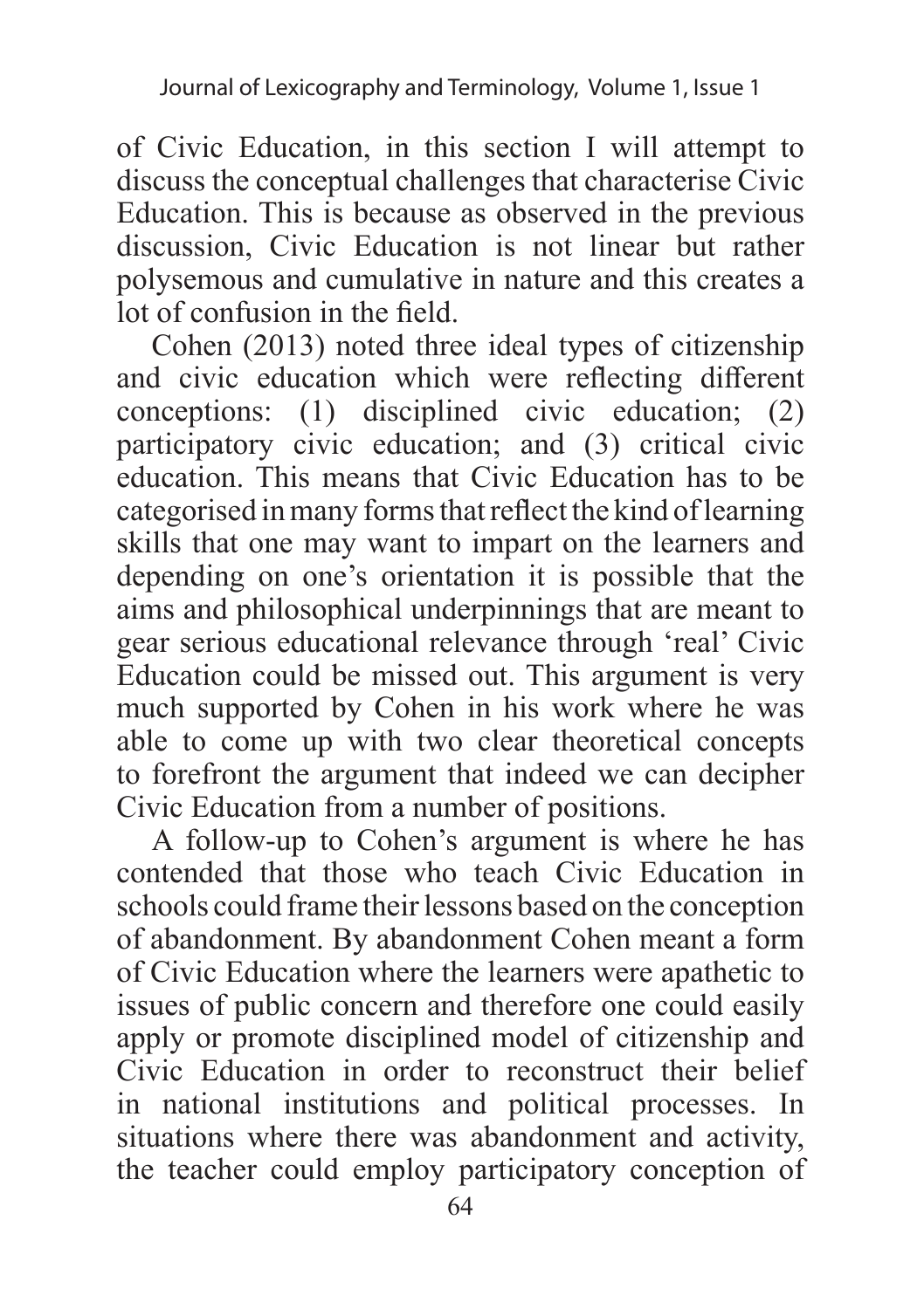of Civic Education, in this section I will attempt to discuss the conceptual challenges that characterise Civic Education. This is because as observed in the previous discussion, Civic Education is not linear but rather polysemous and cumulative in nature and this creates a lot of confusion in the field.

Cohen (2013) noted three ideal types of citizenship and civic education which were reflecting different conceptions: (1) disciplined civic education; (2) participatory civic education; and (3) critical civic education. This means that Civic Education has to be categorised in many forms that reflect the kind of learning skills that one may want to impart on the learners and depending on one's orientation it is possible that the aims and philosophical underpinnings that are meant to gear serious educational relevance through 'real' Civic Education could be missed out. This argument is very much supported by Cohen in his work where he was able to come up with two clear theoretical concepts to forefront the argument that indeed we can decipher Civic Education from a number of positions.

A follow-up to Cohen's argument is where he has contended that those who teach Civic Education in schools could frame their lessons based on the conception of abandonment. By abandonment Cohen meant a form of Civic Education where the learners were apathetic to issues of public concern and therefore one could easily apply or promote disciplined model of citizenship and Civic Education in order to reconstruct their belief in national institutions and political processes. In situations where there was abandonment and activity, the teacher could employ participatory conception of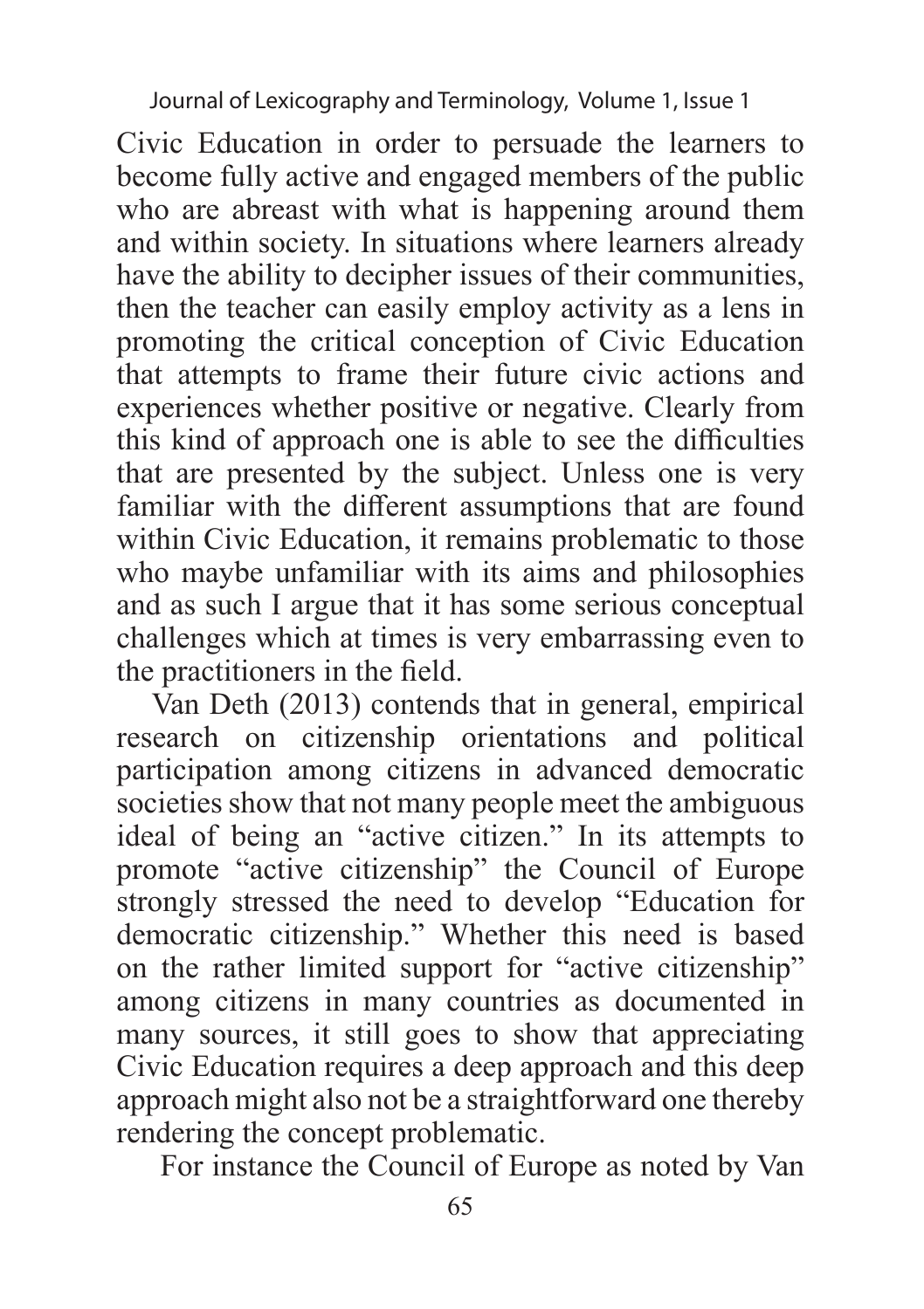Journal of Lexicography and Terminology, Volume 1, Issue 1

Civic Education in order to persuade the learners to become fully active and engaged members of the public who are abreast with what is happening around them and within society. In situations where learners already have the ability to decipher issues of their communities, then the teacher can easily employ activity as a lens in promoting the critical conception of Civic Education that attempts to frame their future civic actions and experiences whether positive or negative. Clearly from this kind of approach one is able to see the difficulties that are presented by the subject. Unless one is very familiar with the different assumptions that are found within Civic Education, it remains problematic to those who maybe unfamiliar with its aims and philosophies and as such I argue that it has some serious conceptual challenges which at times is very embarrassing even to the practitioners in the field.

Van Deth (2013) contends that in general, empirical research on citizenship orientations and political participation among citizens in advanced democratic societies show that not many people meet the ambiguous ideal of being an "active citizen." In its attempts to promote "active citizenship" the Council of Europe strongly stressed the need to develop "Education for democratic citizenship." Whether this need is based on the rather limited support for "active citizenship" among citizens in many countries as documented in many sources, it still goes to show that appreciating Civic Education requires a deep approach and this deep approach might also not be a straightforward one thereby rendering the concept problematic.

For instance the Council of Europe as noted by Van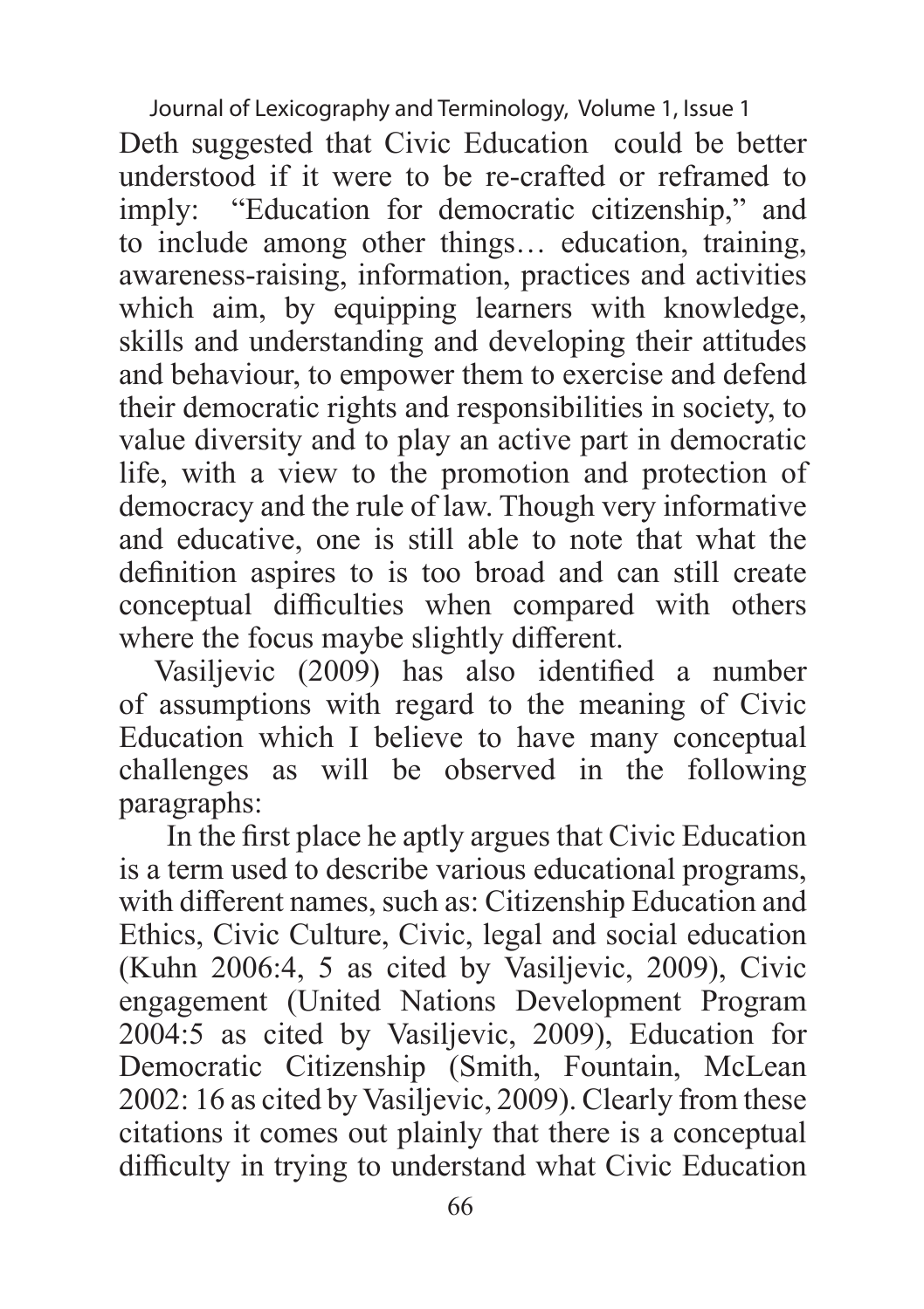Journal of Lexicography and Terminology, Volume 1, Issue 1

Deth suggested that Civic Education could be better understood if it were to be re-crafted or reframed to imply: "Education for democratic citizenship," and to include among other things… education, training, awareness-raising, information, practices and activities which aim, by equipping learners with knowledge, skills and understanding and developing their attitudes and behaviour, to empower them to exercise and defend their democratic rights and responsibilities in society, to value diversity and to play an active part in democratic life, with a view to the promotion and protection of democracy and the rule of law. Though very informative and educative, one is still able to note that what the definition aspires to is too broad and can still create conceptual difficulties when compared with others where the focus maybe slightly different.

Vasiljevic (2009) has also identified a number of assumptions with regard to the meaning of Civic Education which I believe to have many conceptual challenges as will be observed in the following paragraphs:

 In the first place he aptly argues that Civic Education is a term used to describe various educational programs, with different names, such as: Citizenship Education and Ethics, Civic Culture, Civic, legal and social education (Kuhn 2006:4, 5 as cited by Vasiljevic, 2009), Civic engagement (United Nations Development Program 2004:5 as cited by Vasiljevic, 2009), Education for Democratic Citizenship (Smith, Fountain, McLean 2002: 16 as cited by Vasiljevic, 2009). Clearly from these citations it comes out plainly that there is a conceptual difficulty in trying to understand what Civic Education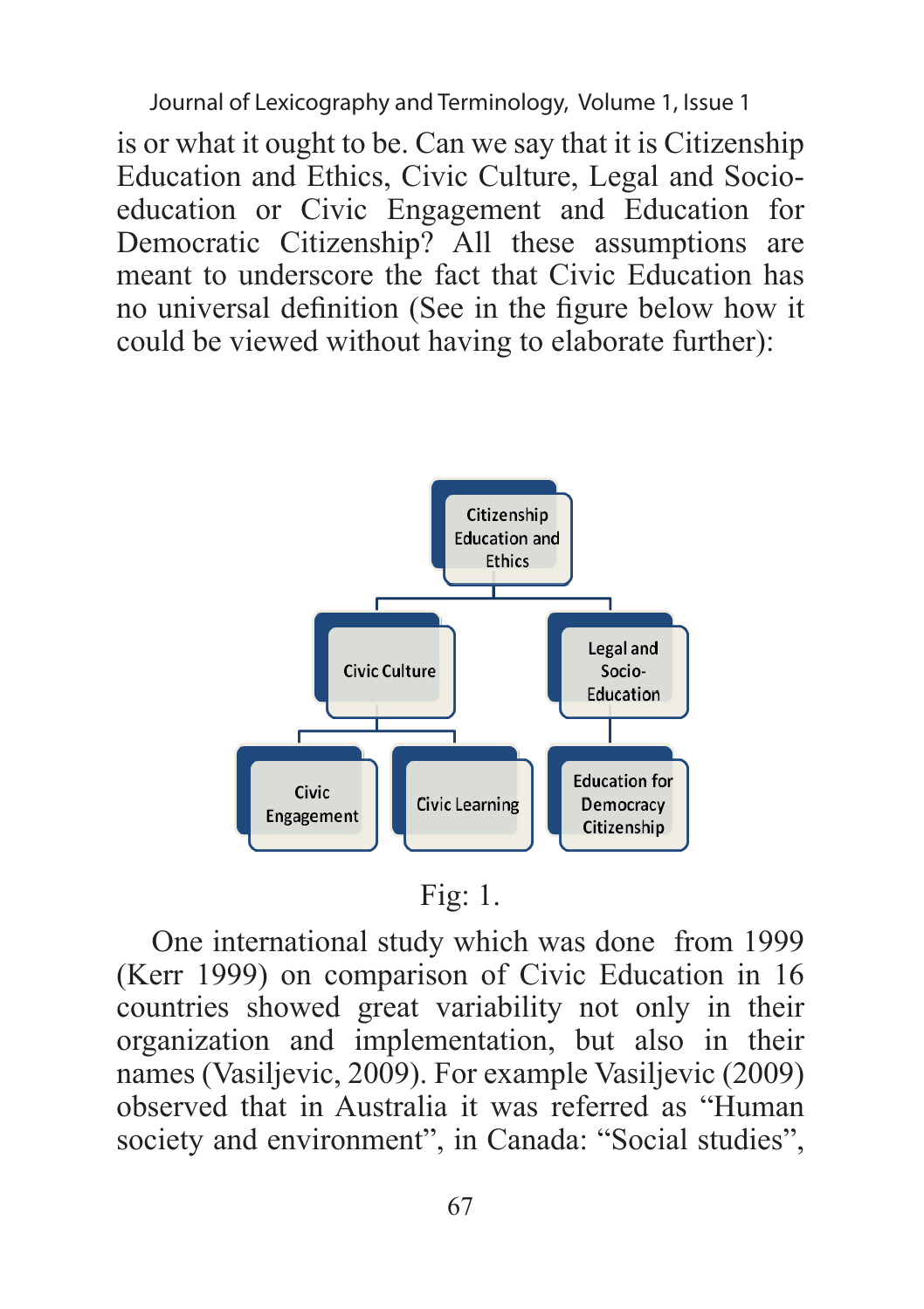Journal of Lexicography and Terminology, Volume 1, Issue 1

is or what it ought to be. Can we say that it is Citizenship Education and Ethics, Civic Culture, Legal and Socioeducation or Civic Engagement and Education for Democratic Citizenship? All these assumptions are meant to underscore the fact that Civic Education has no universal definition (See in the figure below how it could be viewed without having to elaborate further):



Fig: 1.

One international study which was done from 1999 (Kerr 1999) on comparison of Civic Education in 16 countries showed great variability not only in their organization and implementation, but also in their names (Vasiljevic, 2009). For example Vasiljevic (2009) observed that in Australia it was referred as "Human society and environment", in Canada: "Social studies",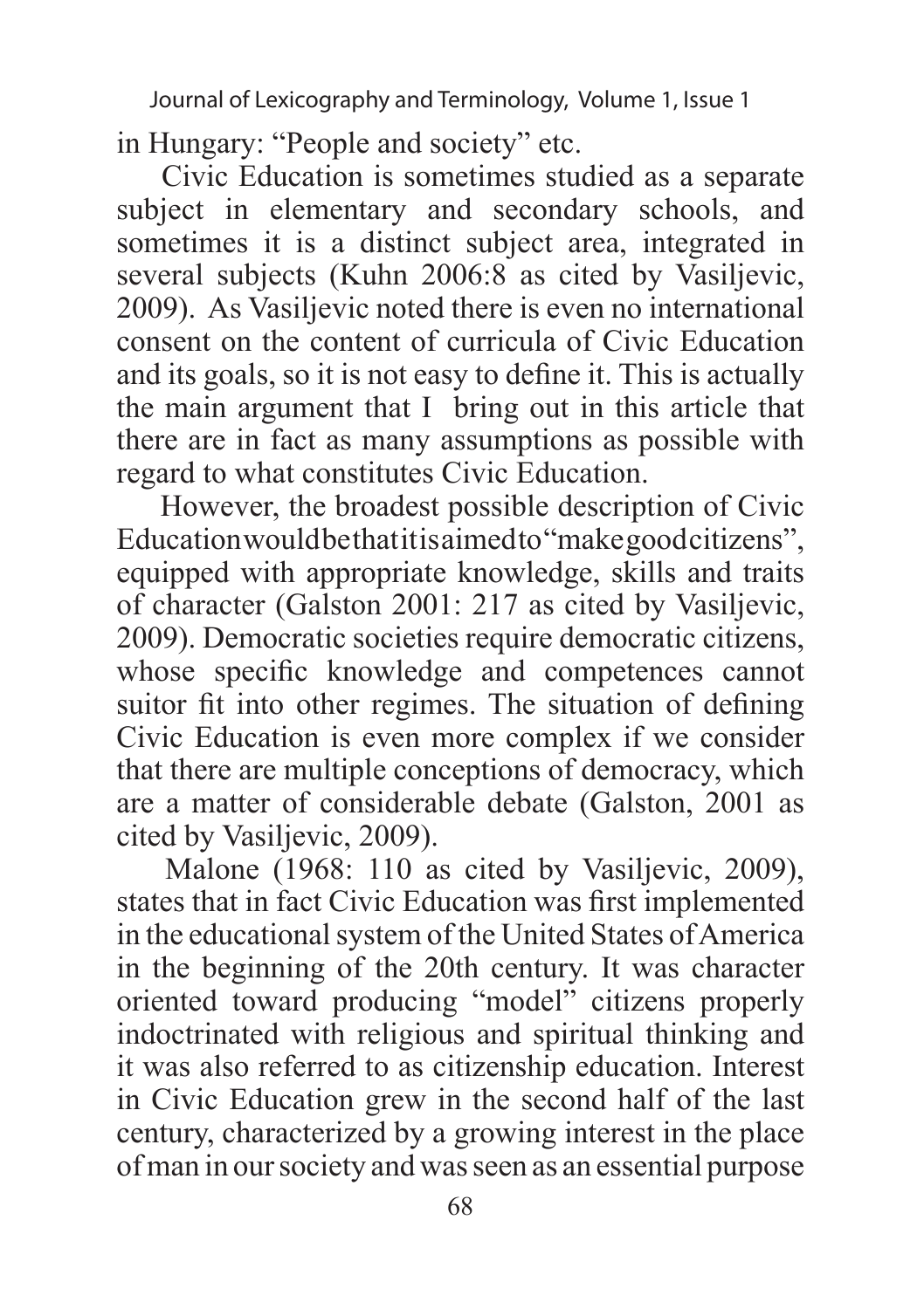in Hungary: "People and society" etc.

 Civic Education is sometimes studied as a separate subject in elementary and secondary schools, and sometimes it is a distinct subject area, integrated in several subjects (Kuhn 2006:8 as cited by Vasiljevic, 2009). As Vasiljevic noted there is even no international consent on the content of curricula of Civic Education and its goals, so it is not easy to define it. This is actually the main argument that I bring out in this article that there are in fact as many assumptions as possible with regard to what constitutes Civic Education.

 However, the broadest possible description of Civic Education would be that it is aimed to "make good citizens", equipped with appropriate knowledge, skills and traits of character (Galston 2001: 217 as cited by Vasiljevic, 2009). Democratic societies require democratic citizens, whose specific knowledge and competences cannot suitor fit into other regimes. The situation of defining Civic Education is even more complex if we consider that there are multiple conceptions of democracy, which are a matter of considerable debate (Galston, 2001 as cited by Vasiljevic, 2009).

 Malone (1968: 110 as cited by Vasiljevic, 2009), states that in fact Civic Education was first implemented in the educational system of the United States of America in the beginning of the 20th century. It was character oriented toward producing "model" citizens properly indoctrinated with religious and spiritual thinking and it was also referred to as citizenship education. Interest in Civic Education grew in the second half of the last century, characterized by a growing interest in the place of man in our society and was seen as an essential purpose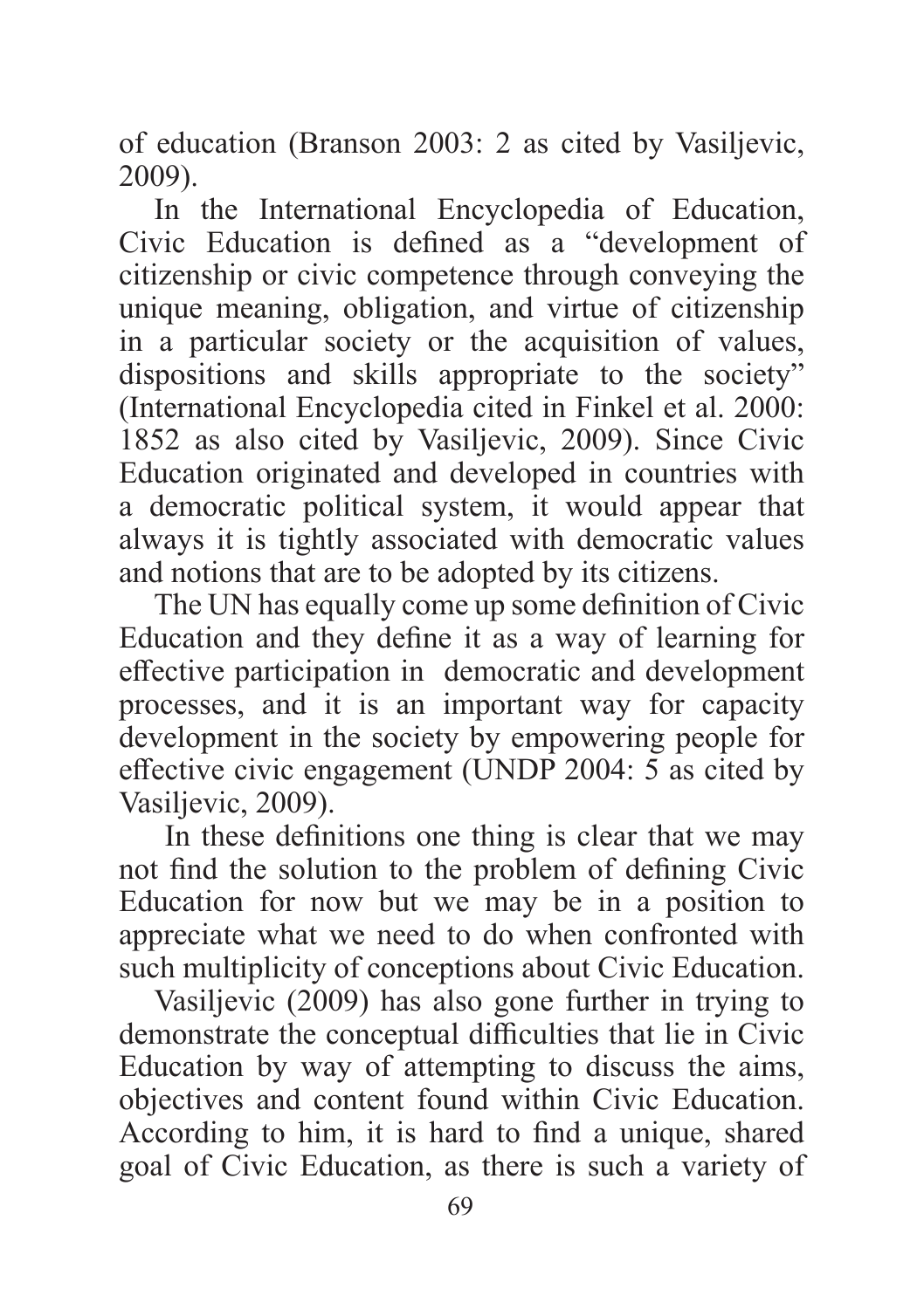of education (Branson 2003: 2 as cited by Vasiljevic, 2009).

In the International Encyclopedia of Education, Civic Education is defined as a "development of citizenship or civic competence through conveying the unique meaning, obligation, and virtue of citizenship in a particular society or the acquisition of values, dispositions and skills appropriate to the society" (International Encyclopedia cited in Finkel et al. 2000: 1852 as also cited by Vasiljevic, 2009). Since Civic Education originated and developed in countries with a democratic political system, it would appear that always it is tightly associated with democratic values and notions that are to be adopted by its citizens.

The UN has equally come up some definition of Civic Education and they define it as a way of learning for effective participation in democratic and development processes, and it is an important way for capacity development in the society by empowering people for effective civic engagement (UNDP 2004: 5 as cited by Vasiljevic, 2009).

 In these definitions one thing is clear that we may not find the solution to the problem of defining Civic Education for now but we may be in a position to appreciate what we need to do when confronted with such multiplicity of conceptions about Civic Education.

Vasiljevic (2009) has also gone further in trying to demonstrate the conceptual difficulties that lie in Civic Education by way of attempting to discuss the aims, objectives and content found within Civic Education. According to him, it is hard to find a unique, shared goal of Civic Education, as there is such a variety of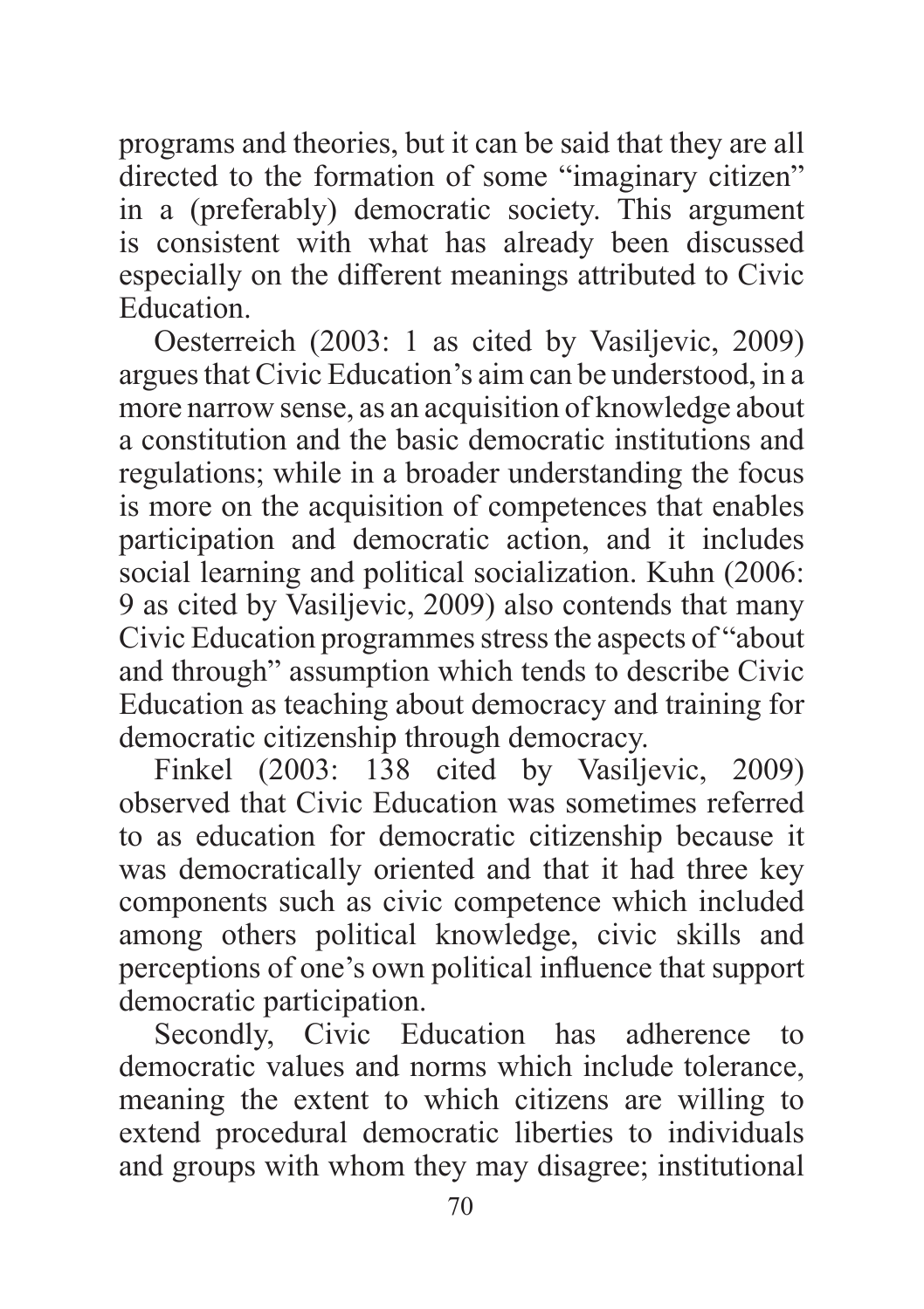programs and theories, but it can be said that they are all directed to the formation of some "imaginary citizen" in a (preferably) democratic society. This argument is consistent with what has already been discussed especially on the different meanings attributed to Civic Education.

Oesterreich (2003: 1 as cited by Vasiljevic, 2009) argues that Civic Education's aim can be understood, in a more narrow sense, as an acquisition of knowledge about a constitution and the basic democratic institutions and regulations; while in a broader understanding the focus is more on the acquisition of competences that enables participation and democratic action, and it includes social learning and political socialization. Kuhn (2006: 9 as cited by Vasiljevic, 2009) also contends that many Civic Education programmes stress the aspects of "about and through" assumption which tends to describe Civic Education as teaching about democracy and training for democratic citizenship through democracy.

Finkel (2003: 138 cited by Vasiljevic, 2009) observed that Civic Education was sometimes referred to as education for democratic citizenship because it was democratically oriented and that it had three key components such as civic competence which included among others political knowledge, civic skills and perceptions of one's own political influence that support democratic participation.

Secondly, Civic Education has adherence to democratic values and norms which include tolerance, meaning the extent to which citizens are willing to extend procedural democratic liberties to individuals and groups with whom they may disagree; institutional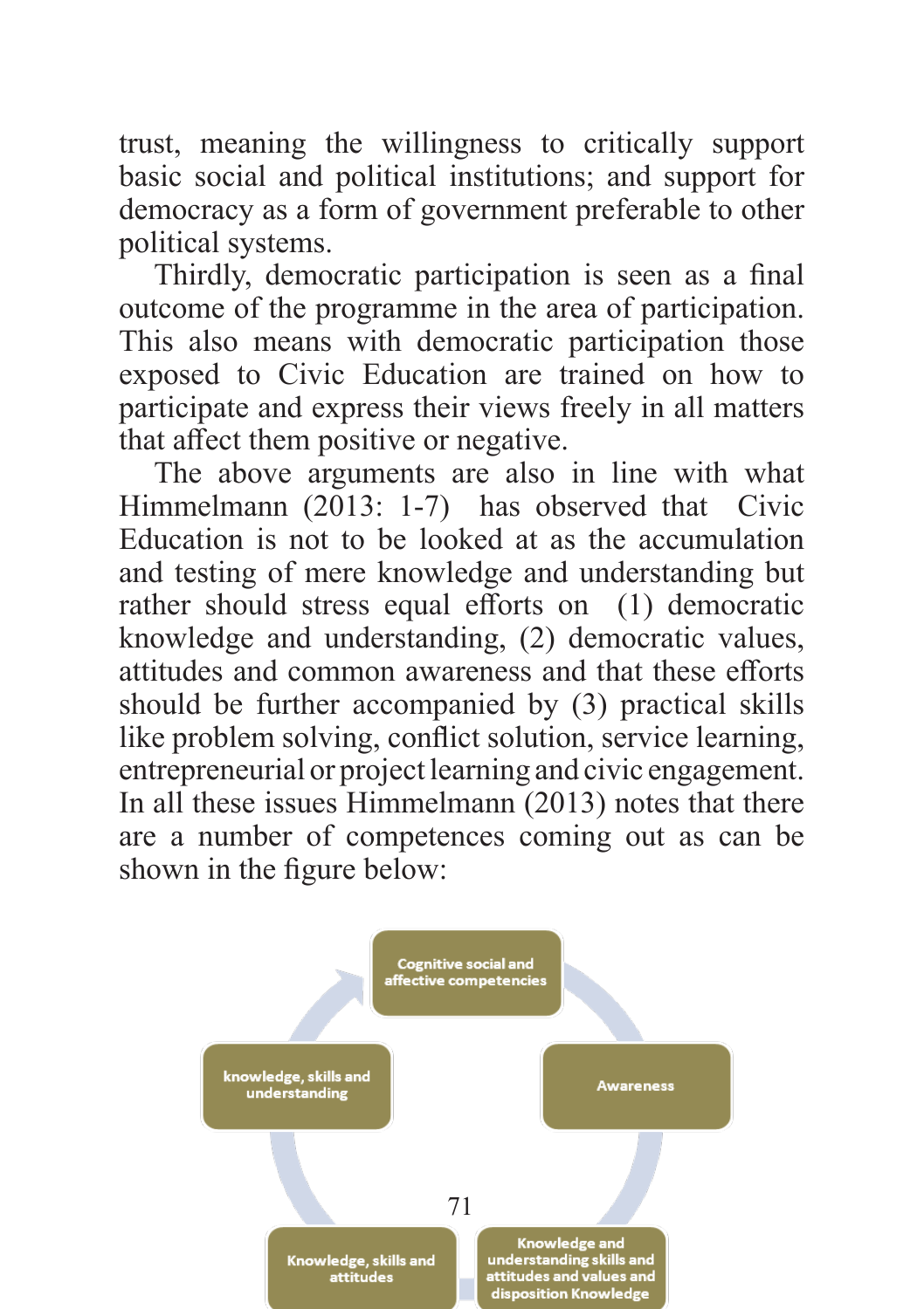trust, meaning the willingness to critically support basic social and political institutions; and support for democracy as a form of government preferable to other political systems.

Thirdly, democratic participation is seen as a final outcome of the programme in the area of participation. This also means with democratic participation those exposed to Civic Education are trained on how to participate and express their views freely in all matters that affect them positive or negative.

The above arguments are also in line with what Himmelmann (2013: 1-7) has observed that Civic Education is not to be looked at as the accumulation and testing of mere knowledge and understanding but rather should stress equal efforts on (1) democratic knowledge and understanding, (2) democratic values, attitudes and common awareness and that these efforts should be further accompanied by (3) practical skills like problem solving, conflict solution, service learning, entrepreneurial or project learning and civic engagement. In all these issues Himmelmann (2013) notes that there are a number of competences coming out as can be shown in the figure below:

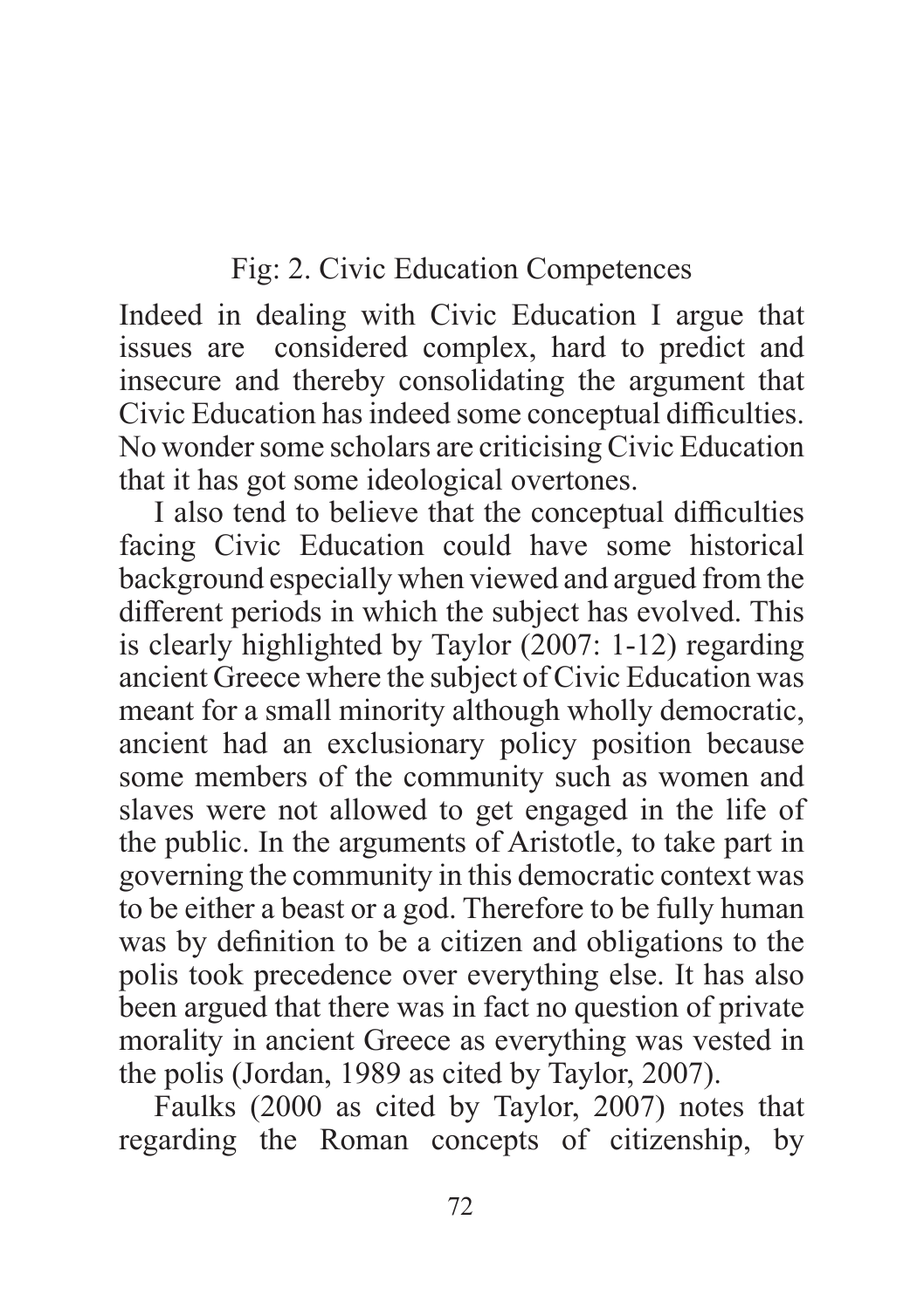Fig: 2. Civic Education Competences

Indeed in dealing with Civic Education I argue that issues are considered complex, hard to predict and insecure and thereby consolidating the argument that Civic Education has indeed some conceptual difficulties. No wonder some scholars are criticising Civic Education that it has got some ideological overtones.

I also tend to believe that the conceptual difficulties facing Civic Education could have some historical background especially when viewed and argued from the different periods in which the subject has evolved. This is clearly highlighted by Taylor (2007: 1-12) regarding ancient Greece where the subject of Civic Education was meant for a small minority although wholly democratic, ancient had an exclusionary policy position because some members of the community such as women and slaves were not allowed to get engaged in the life of the public. In the arguments of Aristotle, to take part in governing the community in this democratic context was to be either a beast or a god. Therefore to be fully human was by definition to be a citizen and obligations to the polis took precedence over everything else. It has also been argued that there was in fact no question of private morality in ancient Greece as everything was vested in the polis (Jordan, 1989 as cited by Taylor, 2007).

Faulks (2000 as cited by Taylor, 2007) notes that regarding the Roman concepts of citizenship, by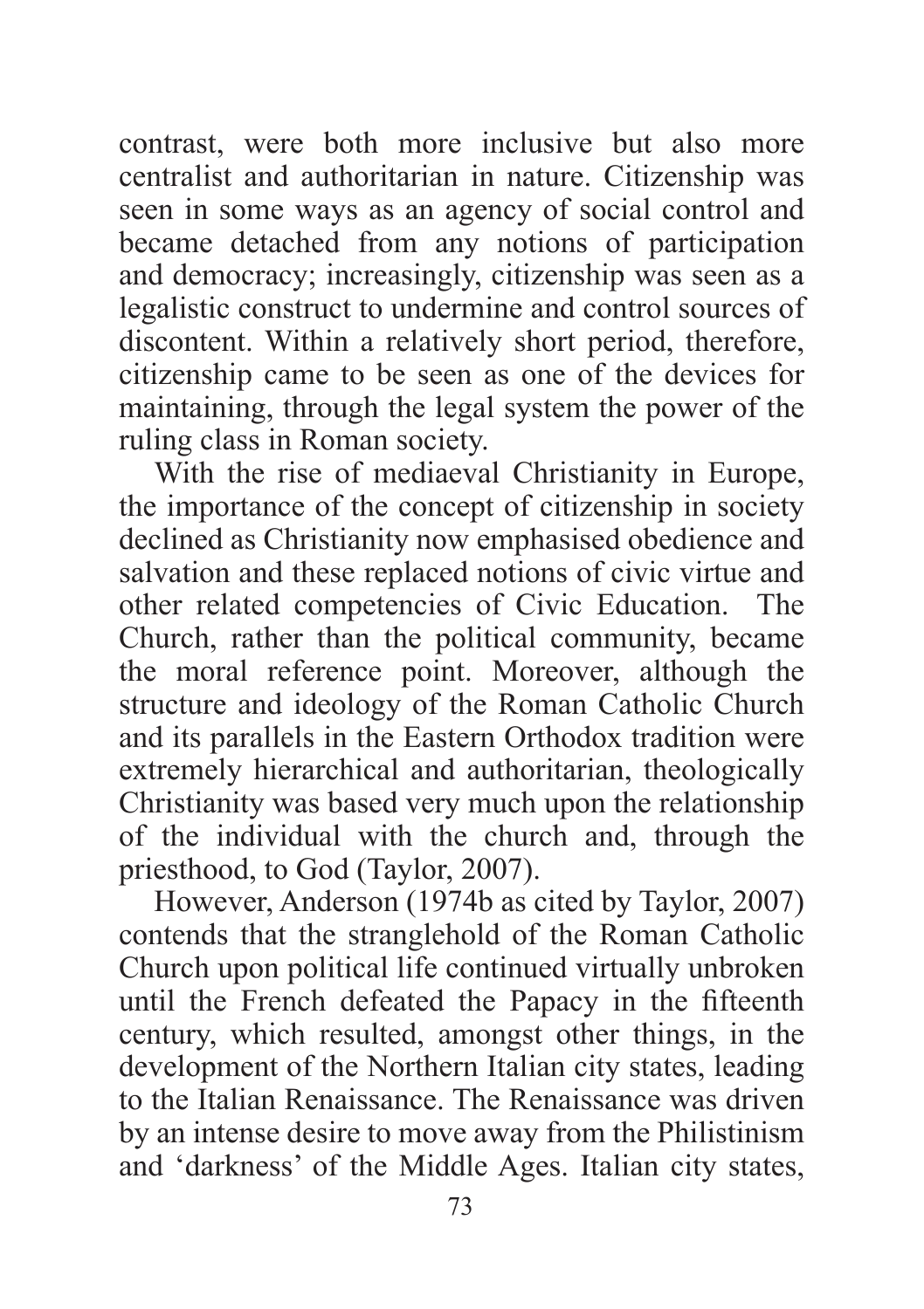contrast, were both more inclusive but also more centralist and authoritarian in nature. Citizenship was seen in some ways as an agency of social control and became detached from any notions of participation and democracy; increasingly, citizenship was seen as a legalistic construct to undermine and control sources of discontent. Within a relatively short period, therefore, citizenship came to be seen as one of the devices for maintaining, through the legal system the power of the ruling class in Roman society.

With the rise of mediaeval Christianity in Europe, the importance of the concept of citizenship in society declined as Christianity now emphasised obedience and salvation and these replaced notions of civic virtue and other related competencies of Civic Education. The Church, rather than the political community, became the moral reference point. Moreover, although the structure and ideology of the Roman Catholic Church and its parallels in the Eastern Orthodox tradition were extremely hierarchical and authoritarian, theologically Christianity was based very much upon the relationship of the individual with the church and, through the priesthood, to God (Taylor, 2007).

However, Anderson (1974b as cited by Taylor, 2007) contends that the stranglehold of the Roman Catholic Church upon political life continued virtually unbroken until the French defeated the Papacy in the fifteenth century, which resulted, amongst other things, in the development of the Northern Italian city states, leading to the Italian Renaissance. The Renaissance was driven by an intense desire to move away from the Philistinism and 'darkness' of the Middle Ages. Italian city states,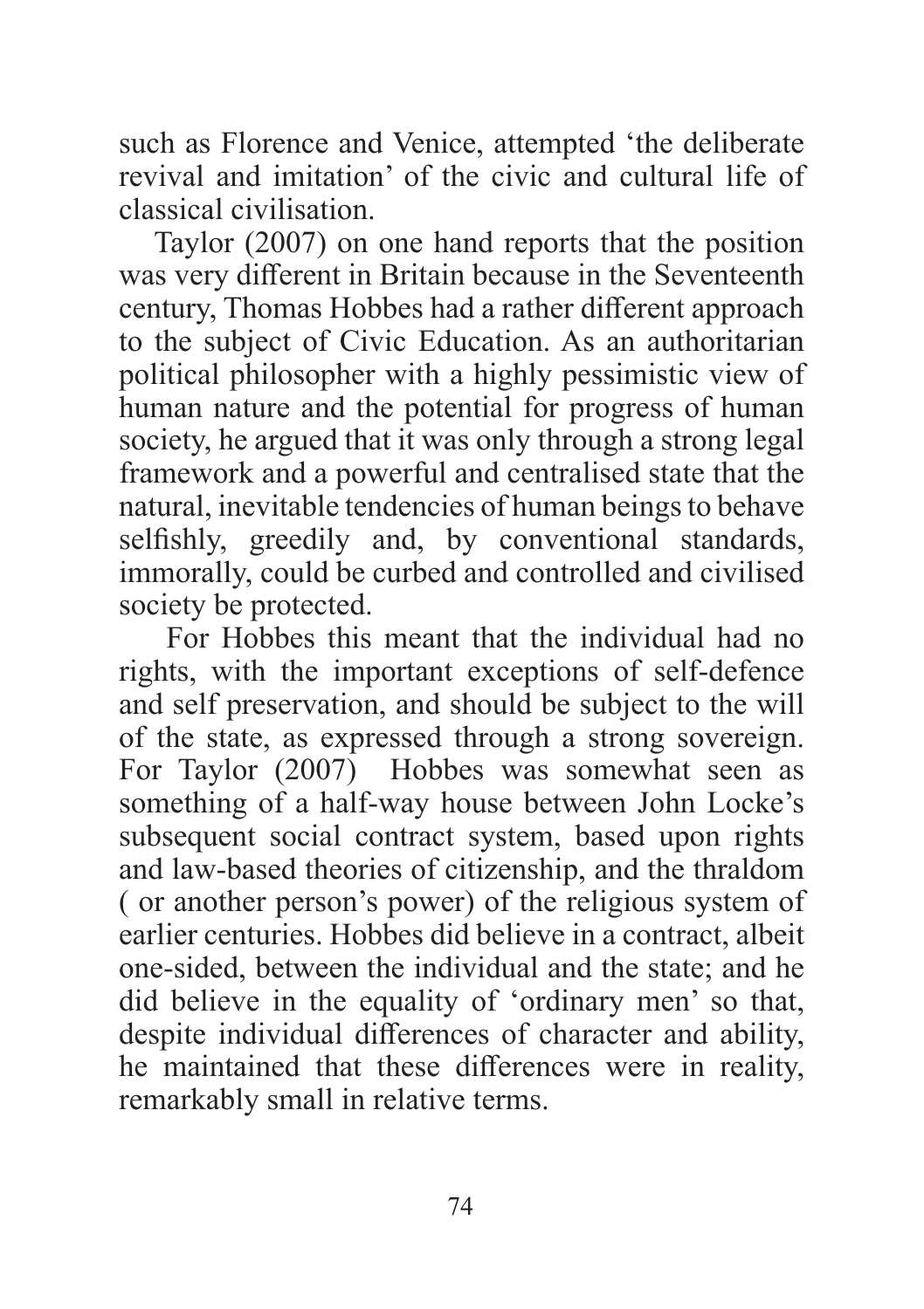such as Florence and Venice, attempted 'the deliberate revival and imitation' of the civic and cultural life of classical civilisation.

Taylor (2007) on one hand reports that the position was very different in Britain because in the Seventeenth century, Thomas Hobbes had a rather different approach to the subject of Civic Education. As an authoritarian political philosopher with a highly pessimistic view of human nature and the potential for progress of human society, he argued that it was only through a strong legal framework and a powerful and centralised state that the natural, inevitable tendencies of human beings to behave selfishly, greedily and, by conventional standards, immorally, could be curbed and controlled and civilised society be protected.

 For Hobbes this meant that the individual had no rights, with the important exceptions of self-defence and self preservation, and should be subject to the will of the state, as expressed through a strong sovereign. For Taylor (2007) Hobbes was somewhat seen as something of a half-way house between John Locke's subsequent social contract system, based upon rights and law-based theories of citizenship, and the thraldom ( or another person's power) of the religious system of earlier centuries. Hobbes did believe in a contract, albeit one-sided, between the individual and the state; and he did believe in the equality of 'ordinary men' so that, despite individual differences of character and ability, he maintained that these differences were in reality, remarkably small in relative terms.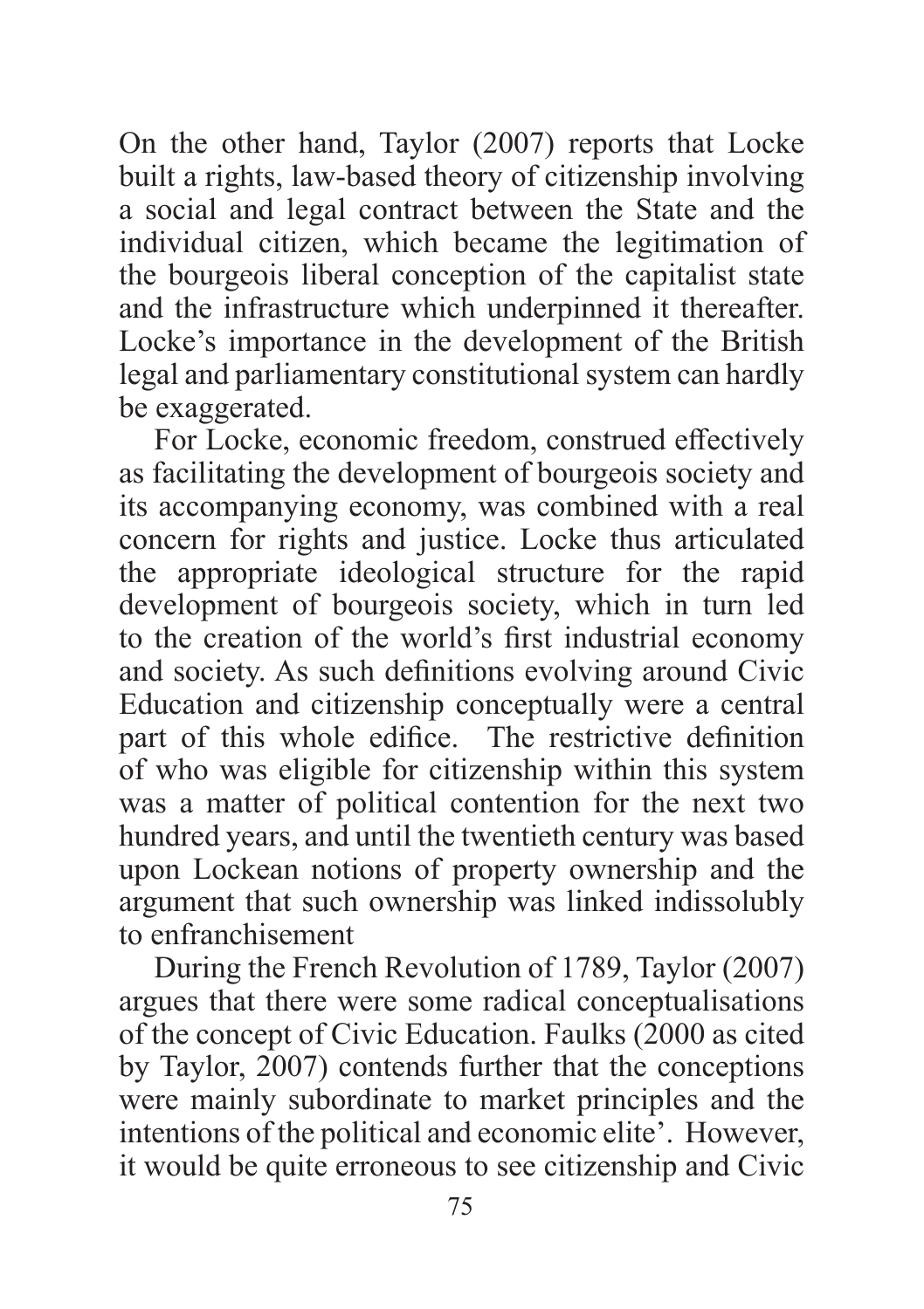On the other hand, Taylor (2007) reports that Locke built a rights, law-based theory of citizenship involving a social and legal contract between the State and the individual citizen, which became the legitimation of the bourgeois liberal conception of the capitalist state and the infrastructure which underpinned it thereafter. Locke's importance in the development of the British legal and parliamentary constitutional system can hardly be exaggerated.

For Locke, economic freedom, construed effectively as facilitating the development of bourgeois society and its accompanying economy, was combined with a real concern for rights and justice. Locke thus articulated the appropriate ideological structure for the rapid development of bourgeois society, which in turn led to the creation of the world's first industrial economy and society. As such definitions evolving around Civic Education and citizenship conceptually were a central part of this whole edifice. The restrictive definition of who was eligible for citizenship within this system was a matter of political contention for the next two hundred years, and until the twentieth century was based upon Lockean notions of property ownership and the argument that such ownership was linked indissolubly to enfranchisement

During the French Revolution of 1789, Taylor (2007) argues that there were some radical conceptualisations of the concept of Civic Education. Faulks (2000 as cited by Taylor, 2007) contends further that the conceptions were mainly subordinate to market principles and the intentions of the political and economic elite'. However, it would be quite erroneous to see citizenship and Civic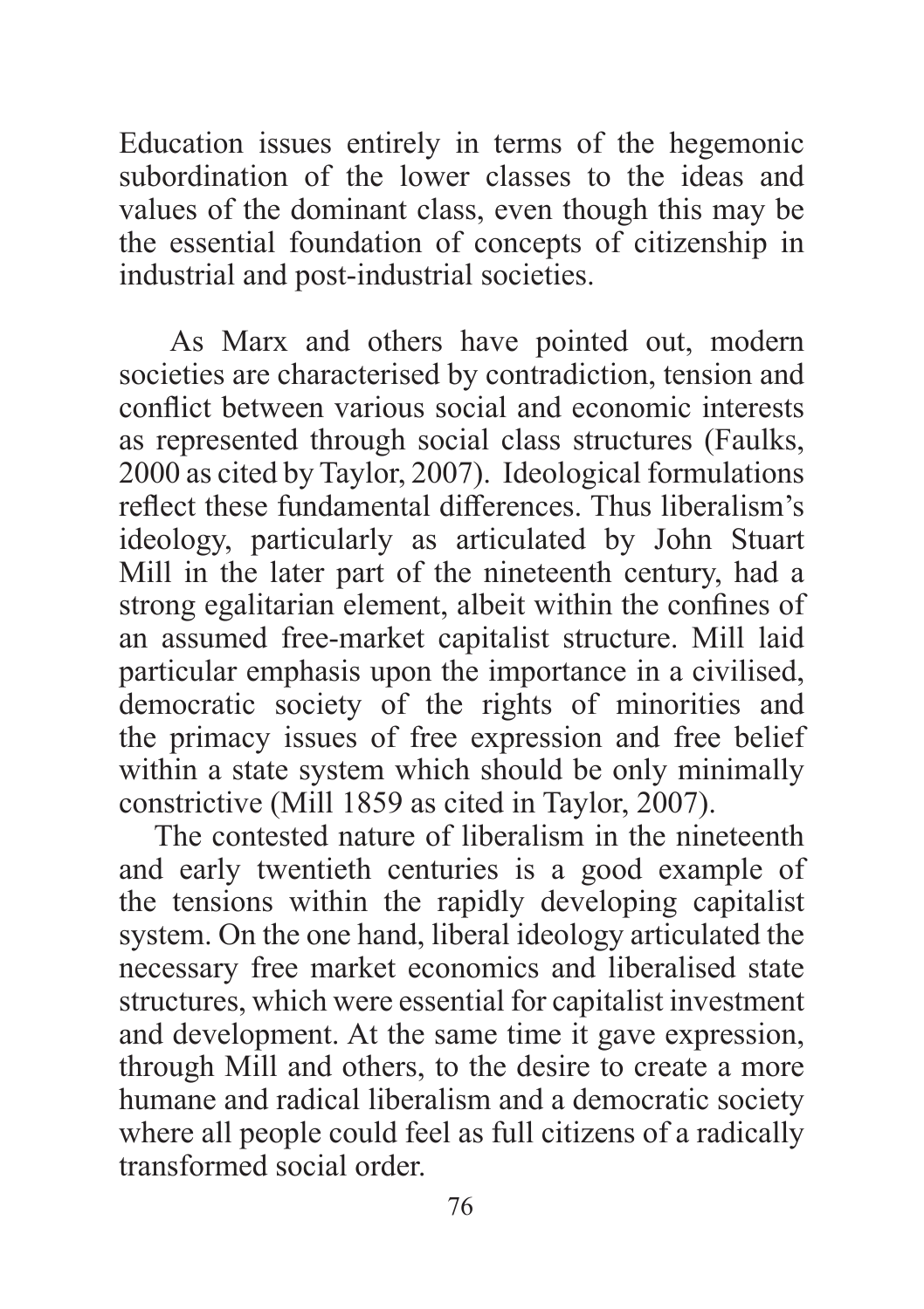Education issues entirely in terms of the hegemonic subordination of the lower classes to the ideas and values of the dominant class, even though this may be the essential foundation of concepts of citizenship in industrial and post-industrial societies.

 As Marx and others have pointed out, modern societies are characterised by contradiction, tension and conflict between various social and economic interests as represented through social class structures (Faulks, 2000 as cited by Taylor, 2007). Ideological formulations reflect these fundamental differences. Thus liberalism's ideology, particularly as articulated by John Stuart Mill in the later part of the nineteenth century, had a strong egalitarian element, albeit within the confines of an assumed free-market capitalist structure. Mill laid particular emphasis upon the importance in a civilised, democratic society of the rights of minorities and the primacy issues of free expression and free belief within a state system which should be only minimally constrictive (Mill 1859 as cited in Taylor, 2007).

The contested nature of liberalism in the nineteenth and early twentieth centuries is a good example of the tensions within the rapidly developing capitalist system. On the one hand, liberal ideology articulated the necessary free market economics and liberalised state structures, which were essential for capitalist investment and development. At the same time it gave expression, through Mill and others, to the desire to create a more humane and radical liberalism and a democratic society where all people could feel as full citizens of a radically transformed social order.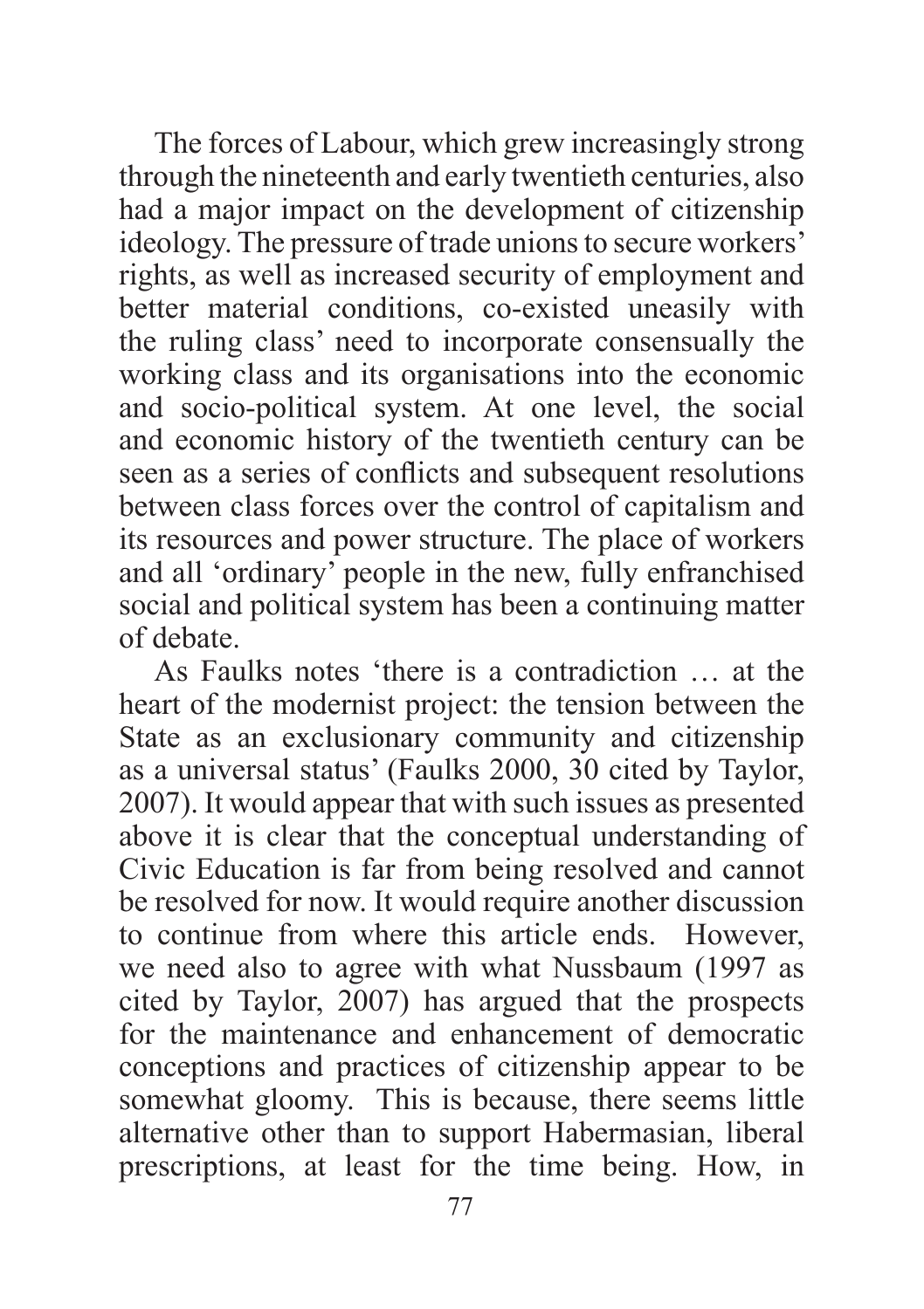The forces of Labour, which grew increasingly strong through the nineteenth and early twentieth centuries, also had a major impact on the development of citizenship ideology. The pressure of trade unions to secure workers' rights, as well as increased security of employment and better material conditions, co-existed uneasily with the ruling class' need to incorporate consensually the working class and its organisations into the economic and socio-political system. At one level, the social and economic history of the twentieth century can be seen as a series of conflicts and subsequent resolutions between class forces over the control of capitalism and its resources and power structure. The place of workers and all 'ordinary' people in the new, fully enfranchised social and political system has been a continuing matter of debate.

As Faulks notes 'there is a contradiction … at the heart of the modernist project: the tension between the State as an exclusionary community and citizenship as a universal status' (Faulks 2000, 30 cited by Taylor, 2007). It would appear that with such issues as presented above it is clear that the conceptual understanding of Civic Education is far from being resolved and cannot be resolved for now. It would require another discussion to continue from where this article ends. However, we need also to agree with what Nussbaum (1997 as cited by Taylor, 2007) has argued that the prospects for the maintenance and enhancement of democratic conceptions and practices of citizenship appear to be somewhat gloomy. This is because, there seems little alternative other than to support Habermasian, liberal prescriptions, at least for the time being. How, in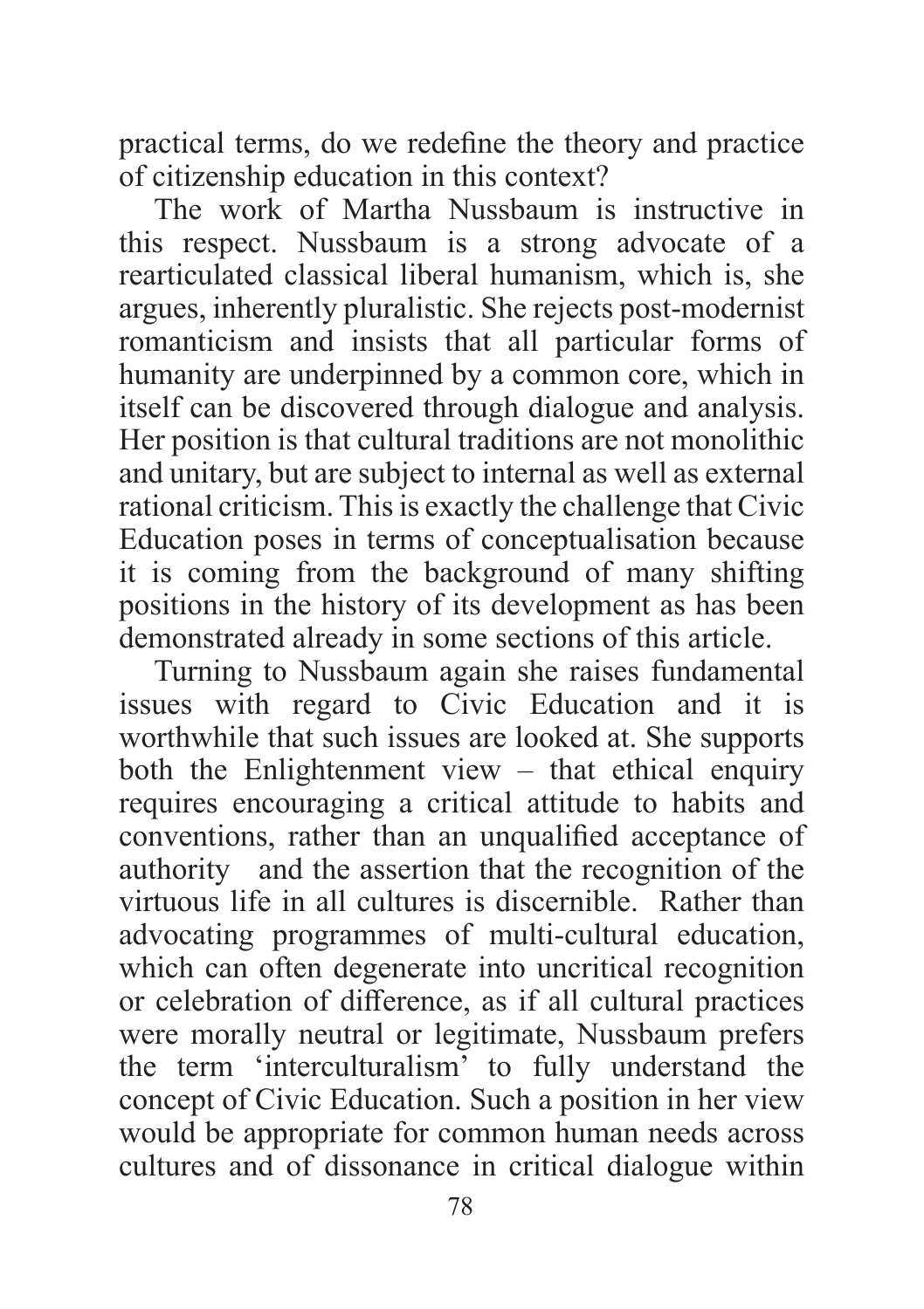practical terms, do we redefine the theory and practice of citizenship education in this context?

The work of Martha Nussbaum is instructive in this respect. Nussbaum is a strong advocate of a rearticulated classical liberal humanism, which is, she argues, inherently pluralistic. She rejects post-modernist romanticism and insists that all particular forms of humanity are underpinned by a common core, which in itself can be discovered through dialogue and analysis. Her position is that cultural traditions are not monolithic and unitary, but are subject to internal as well as external rational criticism. This is exactly the challenge that Civic Education poses in terms of conceptualisation because it is coming from the background of many shifting positions in the history of its development as has been demonstrated already in some sections of this article.

Turning to Nussbaum again she raises fundamental issues with regard to Civic Education and it is worthwhile that such issues are looked at. She supports both the Enlightenment view  $-$  that ethical enquiry requires encouraging a critical attitude to habits and conventions, rather than an unqualified acceptance of authority and the assertion that the recognition of the virtuous life in all cultures is discernible. Rather than advocating programmes of multi-cultural education, which can often degenerate into uncritical recognition or celebration of difference, as if all cultural practices were morally neutral or legitimate, Nussbaum prefers the term 'interculturalism' to fully understand the concept of Civic Education. Such a position in her view would be appropriate for common human needs across cultures and of dissonance in critical dialogue within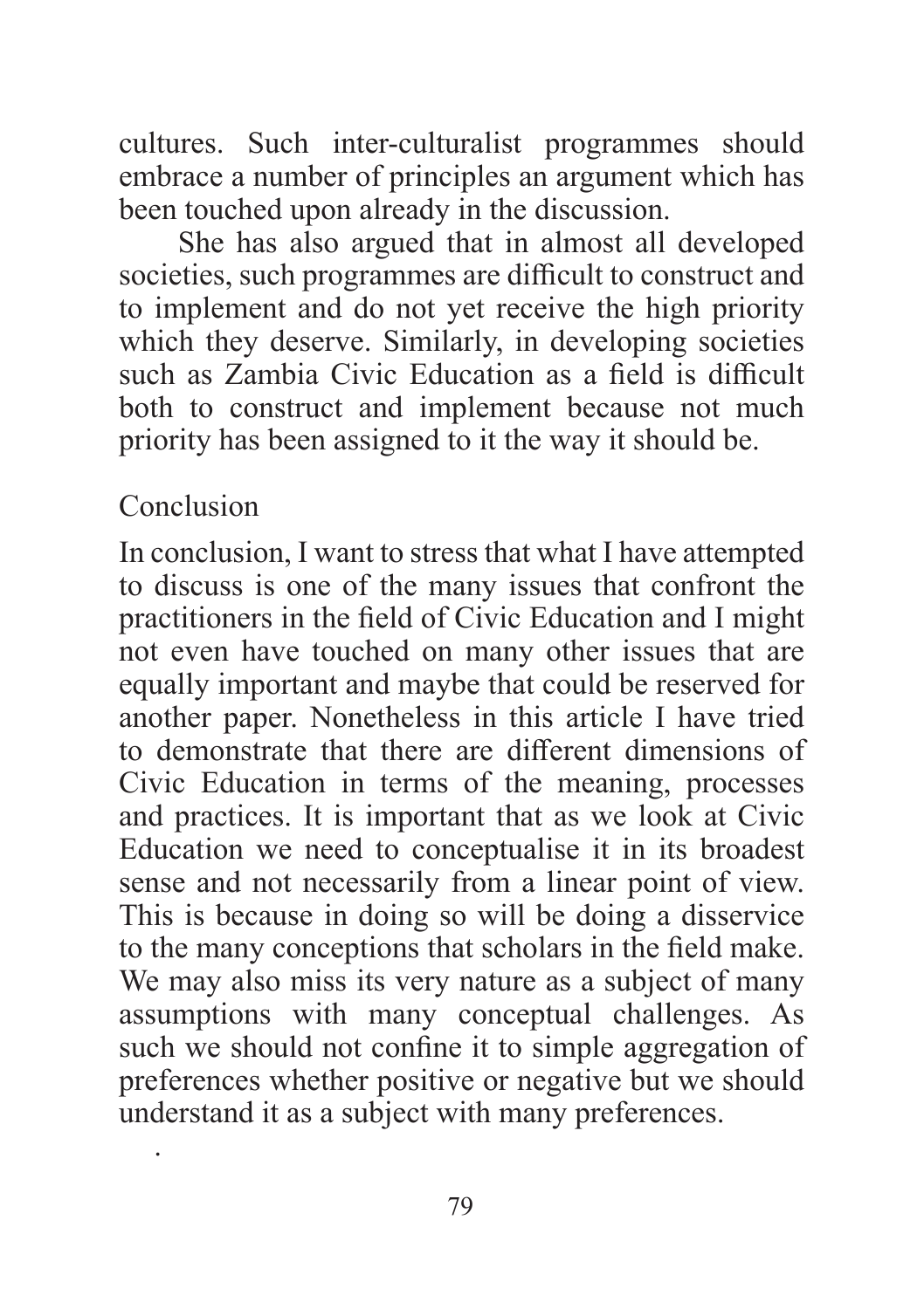cultures. Such inter-culturalist programmes should embrace a number of principles an argument which has been touched upon already in the discussion.

 She has also argued that in almost all developed societies, such programmes are difficult to construct and to implement and do not yet receive the high priority which they deserve. Similarly, in developing societies such as Zambia Civic Education as a field is difficult both to construct and implement because not much priority has been assigned to it the way it should be.

### Conclusion

.

In conclusion, I want to stress that what I have attempted to discuss is one of the many issues that confront the practitioners in the field of Civic Education and I might not even have touched on many other issues that are equally important and maybe that could be reserved for another paper. Nonetheless in this article I have tried to demonstrate that there are different dimensions of Civic Education in terms of the meaning, processes and practices. It is important that as we look at Civic Education we need to conceptualise it in its broadest sense and not necessarily from a linear point of view. This is because in doing so will be doing a disservice to the many conceptions that scholars in the field make. We may also miss its very nature as a subject of many assumptions with many conceptual challenges. As such we should not confine it to simple aggregation of preferences whether positive or negative but we should understand it as a subject with many preferences.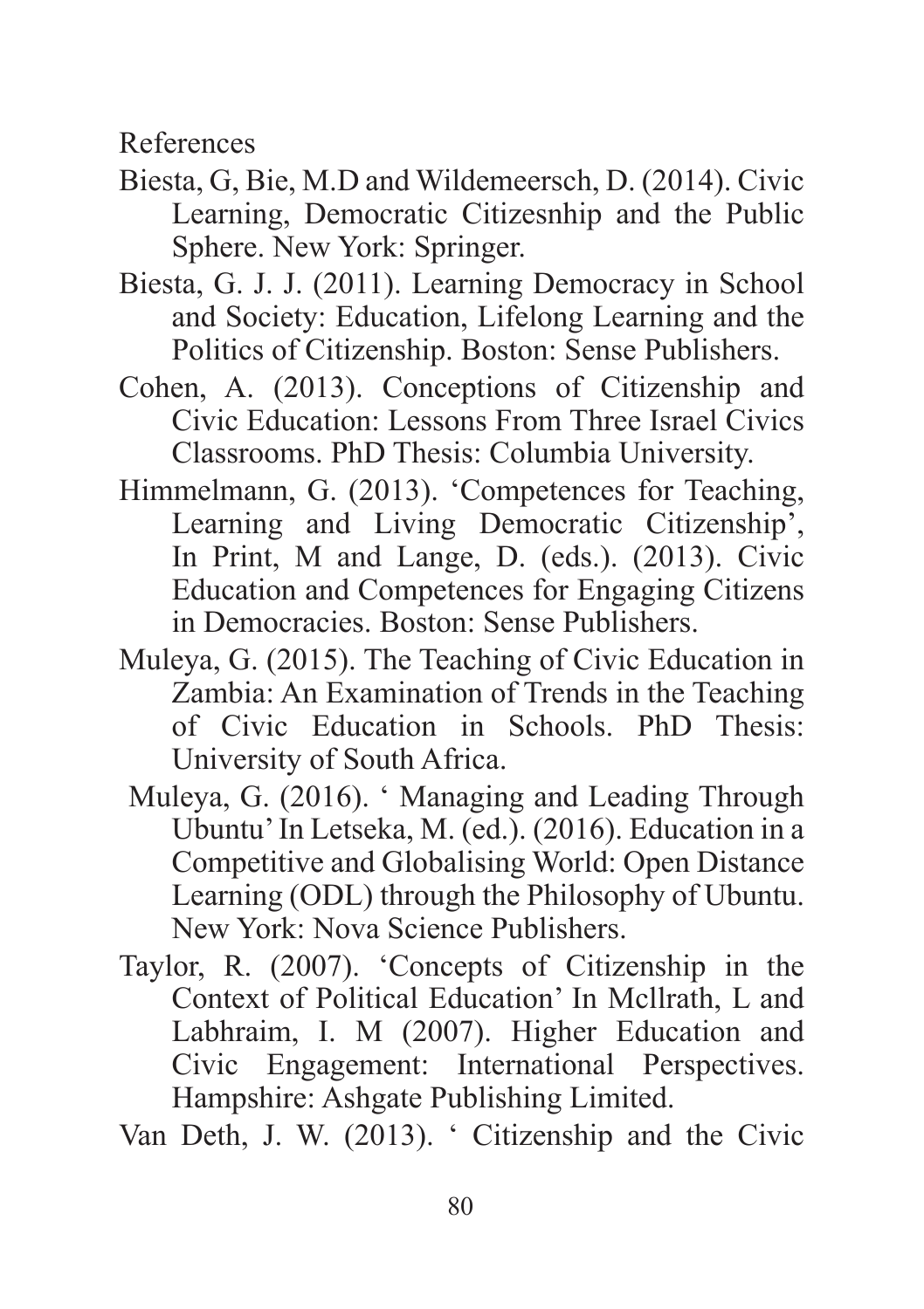References

- Biesta, G, Bie, M.D and Wildemeersch, D. (2014). Civic Learning, Democratic Citizesnhip and the Public Sphere. New York: Springer.
- Biesta, G. J. J. (2011). Learning Democracy in School and Society: Education, Lifelong Learning and the Politics of Citizenship. Boston: Sense Publishers.
- Cohen, A. (2013). Conceptions of Citizenship and Civic Education: Lessons From Three Israel Civics Classrooms. PhD Thesis: Columbia University.
- Himmelmann, G. (2013). 'Competences for Teaching, Learning and Living Democratic Citizenship', In Print, M and Lange, D. (eds.). (2013). Civic Education and Competences for Engaging Citizens in Democracies. Boston: Sense Publishers.
- Muleya, G. (2015). The Teaching of Civic Education in Zambia: An Examination of Trends in the Teaching of Civic Education in Schools. PhD Thesis: University of South Africa.
	- Muleya, G. (2016). ' Managing and Leading Through Ubuntu' In Letseka, M. (ed.). (2016). Education in a Competitive and Globalising World: Open Distance Learning (ODL) through the Philosophy of Ubuntu. New York: Nova Science Publishers.
- Taylor, R. (2007). 'Concepts of Citizenship in the Context of Political Education' In Mcllrath, L and Labhraim, I. M (2007). Higher Education and Civic Engagement: International Perspectives. Hampshire: Ashgate Publishing Limited.

Van Deth, J. W. (2013). ' Citizenship and the Civic